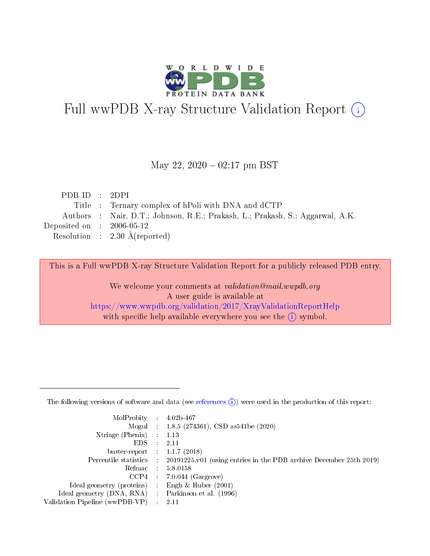

# Full wwPDB X-ray Structure Validation Report (i)

#### May 22,  $2020 - 02:17$  pm BST

| PDBID : 2DPI                |                                                                               |
|-----------------------------|-------------------------------------------------------------------------------|
|                             | Title : Ternary complex of hPoli with DNA and dCTP                            |
|                             | Authors : Nair, D.T.; Johnson, R.E.; Prakash, L.; Prakash, S.; Aggarwal, A.K. |
| Deposited on : $2006-05-12$ |                                                                               |
|                             | Resolution : $2.30 \text{ Å}$ (reported)                                      |

This is a Full wwPDB X-ray Structure Validation Report for a publicly released PDB entry.

We welcome your comments at validation@mail.wwpdb.org A user guide is available at <https://www.wwpdb.org/validation/2017/XrayValidationReportHelp> with specific help available everywhere you see the  $(i)$  symbol.

The following versions of software and data (see [references](https://www.wwpdb.org/validation/2017/XrayValidationReportHelp#references)  $(1)$ ) were used in the production of this report:

| MolProbity :                   |               | $4.02b - 467$                                                               |
|--------------------------------|---------------|-----------------------------------------------------------------------------|
|                                |               | Mogul : $1.8.5$ (274361), CSD as 541be (2020)                               |
| Xtriage (Phenix)               | $\mathcal{L}$ | 1.13                                                                        |
| EDS.                           |               | 2.11                                                                        |
| buster-report : $1.1.7$ (2018) |               |                                                                             |
| Percentile statistics :        |               | $20191225 \text{v}01$ (using entries in the PDB archive December 25th 2019) |
| Refmac :                       |               | 5.8.0158                                                                    |
| CCP4                           |               | $7.0.044$ (Gargrove)                                                        |
| Ideal geometry (proteins) :    |               | Engh & Huber $(2001)$                                                       |
| Ideal geometry (DNA, RNA) :    |               | Parkinson et al. (1996)                                                     |
| Validation Pipeline (wwPDB-VP) | $\mathcal{L}$ | 2.11                                                                        |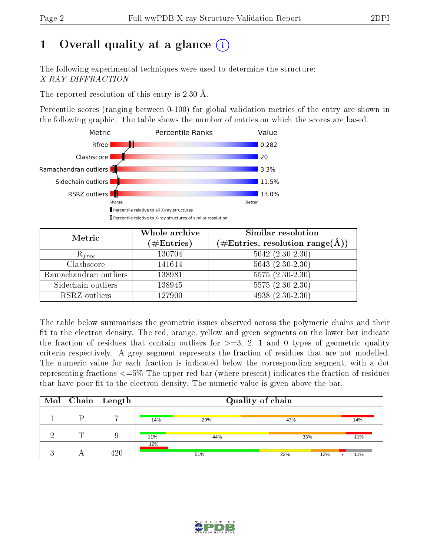# 1 [O](https://www.wwpdb.org/validation/2017/XrayValidationReportHelp#overall_quality)verall quality at a glance  $(i)$

The following experimental techniques were used to determine the structure: X-RAY DIFFRACTION

The reported resolution of this entry is 2.30 Å.

Percentile scores (ranging between 0-100) for global validation metrics of the entry are shown in the following graphic. The table shows the number of entries on which the scores are based.



| Metric                | Whole archive<br>$(\#\text{Entries})$ | Similar resolution<br>$(\#\text{Entries},\,\text{resolution}\,\,\text{range}(\textup{\AA}))$ |
|-----------------------|---------------------------------------|----------------------------------------------------------------------------------------------|
| $R_{free}$            | 130704                                | $5042$ $(2.30-2.30)$                                                                         |
| Clashscore            | 141614                                | $5643$ $(2.30-2.30)$                                                                         |
| Ramachandran outliers | 138981                                | $5575(2.30-2.30)$                                                                            |
| Sidechain outliers    | 138945                                | $\overline{5575 (2.30-2.30)}$                                                                |
| RSRZ outliers         | 127900                                | 4938 (2.30-2.30)                                                                             |

The table below summarises the geometric issues observed across the polymeric chains and their fit to the electron density. The red, orange, yellow and green segments on the lower bar indicate the fraction of residues that contain outliers for  $>=3, 2, 1$  and 0 types of geometric quality criteria respectively. A grey segment represents the fraction of residues that are not modelled. The numeric value for each fraction is indicated below the corresponding segment, with a dot representing fractions  $\epsilon=5\%$  The upper red bar (where present) indicates the fraction of residues that have poor fit to the electron density. The numeric value is given above the bar.

|   | $\boxed{\text{Mol}$ $\boxed{\text{Chain}}$ Length |     |     | Quality of chain |     |
|---|---------------------------------------------------|-----|-----|------------------|-----|
|   |                                                   | 14% | 29% | 43%              | 14% |
| m |                                                   | 11% | 44% | 33%              | 11% |
|   | 420                                               | 12% | 51% | 22%<br>12%       | 11% |

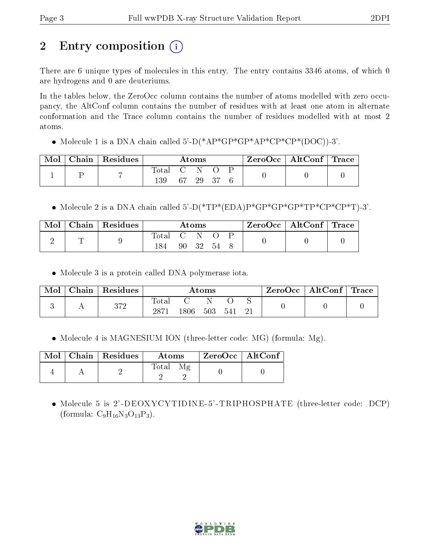# 2 Entry composition  $\left( \cdot \right)$

There are 6 unique types of molecules in this entry. The entry contains 3346 atoms, of which 0 are hydrogens and 0 are deuteriums.

In the tables below, the ZeroOcc column contains the number of atoms modelled with zero occupancy, the AltConf column contains the number of residues with at least one atom in alternate conformation and the Trace column contains the number of residues modelled with at most 2 atoms.

• Molecule 1 is a DNA chain called  $5'-D(*AP*GP*GP*AP*CP*CP*CP*(DOC))-3'$ .

| $\text{Mol}$ | $\mid$ Chain $\mid$ Residues |             | $\rm{Atoms}$ |  | $ZeroOcc \mid AltConf \mid Trace$ |  |
|--------------|------------------------------|-------------|--------------|--|-----------------------------------|--|
|              |                              | Total C N O |              |  |                                   |  |
|              |                              | 139         | 67 29 37     |  |                                   |  |

• Molecule 2 is a DNA chain called  $5'-D(*TP*(EDA)P*GP*GP*GP*TP*CP*CP*T)-3'.$ 

| Mol | $\mid$ Chain $\mid$ Residues |             |      | Atoms |     | $\mid$ ZeroOcc $\mid$ AltConf $\mid$ Trace |  |
|-----|------------------------------|-------------|------|-------|-----|--------------------------------------------|--|
|     |                              | $\rm Total$ |      |       |     |                                            |  |
|     |                              |             | 90 — | -32   | -54 |                                            |  |

Molecule 3 is a protein called DNA polymerase iota.

| Mol | Chain | Residues |                     |      | Atoms |     | ZeroOcc | AltConf | $\lq$ Trace |
|-----|-------|----------|---------------------|------|-------|-----|---------|---------|-------------|
|     |       | 372      | $\rm Total$<br>2871 | 1806 | 503   | 541 |         |         |             |

• Molecule 4 is MAGNESIUM ION (three-letter code: MG) (formula: Mg).

|  | Mol   Chain   Residues | Atoms | $^\top$ ZeroOcc   AltConf |  |
|--|------------------------|-------|---------------------------|--|
|  |                        | Total |                           |  |

 Molecule 5 is 2'-DEOXYCYTIDINE-5'-TRIPHOSPHATE (three-letter code: DCP) (formula:  $C_9H_{16}N_3O_{13}P_3$ ).

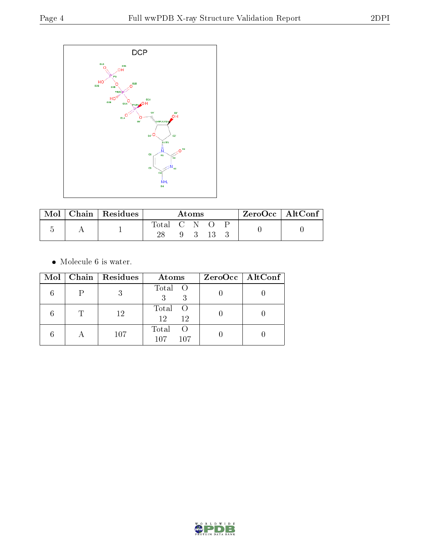

| Mol | Chain   Residues |             | Atoms       |      | $ZeroOcc \mid AltConf \mid$ |  |
|-----|------------------|-------------|-------------|------|-----------------------------|--|
|     |                  | Total C N O |             |      |                             |  |
|     |                  |             | $9 \quad 3$ | -13- |                             |  |

 $\bullet\,$  Molecule 6 is water.

| $\bf{Mol}$ |           | Chain Residues | Atoms                                   | $ZeroOcc \   \$ AltConf |
|------------|-----------|----------------|-----------------------------------------|-------------------------|
|            |           |                | Total O                                 |                         |
|            |           | 12             | Total<br>- ()<br>12<br>12               |                         |
|            | $\forall$ | 107            | Total<br>$\left( \right)$<br>107<br>107 |                         |

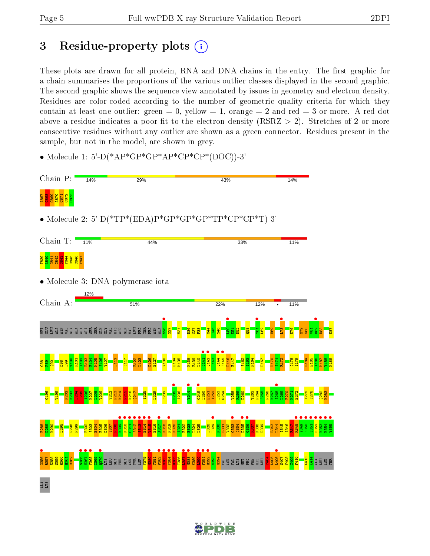# 3 Residue-property plots  $(i)$

These plots are drawn for all protein, RNA and DNA chains in the entry. The first graphic for a chain summarises the proportions of the various outlier classes displayed in the second graphic. The second graphic shows the sequence view annotated by issues in geometry and electron density. Residues are color-coded according to the number of geometric quality criteria for which they contain at least one outlier: green  $= 0$ , yellow  $= 1$ , orange  $= 2$  and red  $= 3$  or more. A red dot above a residue indicates a poor fit to the electron density (RSRZ  $> 2$ ). Stretches of 2 or more consecutive residues without any outlier are shown as a green connector. Residues present in the sample, but not in the model, are shown in grey.

• Molecule 1: 5'-D(\*AP\*GP\*GP\*AP\*CP\*CP\*(DOC))-3'



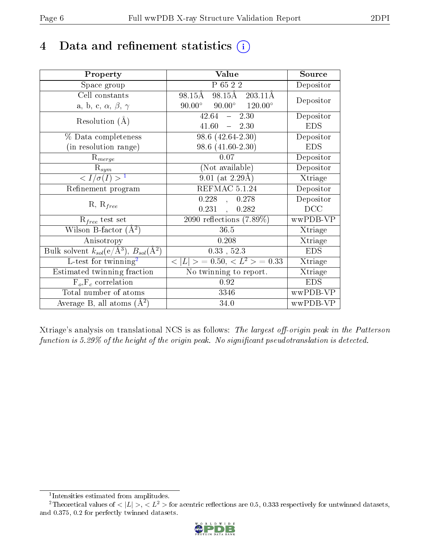# 4 Data and refinement statistics  $(i)$

| Property                                                                | Value                                            | Source     |
|-------------------------------------------------------------------------|--------------------------------------------------|------------|
| Space group                                                             | P 65 2 2                                         | Depositor  |
| Cell constants                                                          | 98.15Å 203.11Å<br>98.15Å                         | Depositor  |
| a, b, c, $\alpha$ , $\beta$ , $\gamma$                                  | $90.00^{\circ}$ $90.00^{\circ}$ $120.00^{\circ}$ |            |
| Resolution $(A)$                                                        | $42.64 - 2.30$                                   | Depositor  |
|                                                                         | $41.60 = 2.30$                                   | <b>EDS</b> |
| % Data completeness                                                     | $98.6(42.64-2.30)$                               | Depositor  |
| (in resolution range)                                                   | 98.6 (41.60-2.30)                                | <b>EDS</b> |
| $R_{merge}$                                                             | 0.07                                             | Depositor  |
| $\mathrm{R}_{sym}$                                                      | (Not available)                                  | Depositor  |
| $\langle I/\sigma(I) \rangle^{-1}$                                      | $9.01$ (at 2.29Å)                                | Xtriage    |
| Refinement program                                                      | REFMAC 5.1.24                                    | Depositor  |
| $R, R_{free}$                                                           | $0.228$ ,<br>0.278                               | Depositor  |
|                                                                         | $0.231$ ,<br>0.282                               | DCC        |
| $R_{free}$ test set                                                     | $2090$ reflections $(7.89\%)$                    | wwPDB-VP   |
| Wilson B-factor $(\AA^2)$                                               | 36.5                                             | Xtriage    |
| Anisotropy                                                              | 0.208                                            | Xtriage    |
| Bulk solvent $k_{sol}(\mathrm{e}/\mathrm{A}^3),\,B_{sol}(\mathrm{A}^2)$ | $0.33$ , $52.3$                                  | <b>EDS</b> |
| L-test for $\mathrm{twinning}^2$                                        | $< L >$ = 0.50, $< L^2 >$ = 0.33                 | Xtriage    |
| Estimated twinning fraction                                             | No twinning to report.                           | Xtriage    |
| $F_o, F_c$ correlation                                                  | 0.92                                             | <b>EDS</b> |
| Total number of atoms                                                   | 3346                                             | wwPDB-VP   |
| Average B, all atoms $(A^2)$                                            | 34.0                                             | wwPDB-VP   |

Xtriage's analysis on translational NCS is as follows: The largest off-origin peak in the Patterson function is  $5.29\%$  of the height of the origin peak. No significant pseudotranslation is detected.

<sup>&</sup>lt;sup>2</sup>Theoretical values of  $\langle |L| \rangle$ ,  $\langle L^2 \rangle$  for acentric reflections are 0.5, 0.333 respectively for untwinned datasets, and 0.375, 0.2 for perfectly twinned datasets.



<span id="page-5-1"></span><span id="page-5-0"></span><sup>1</sup> Intensities estimated from amplitudes.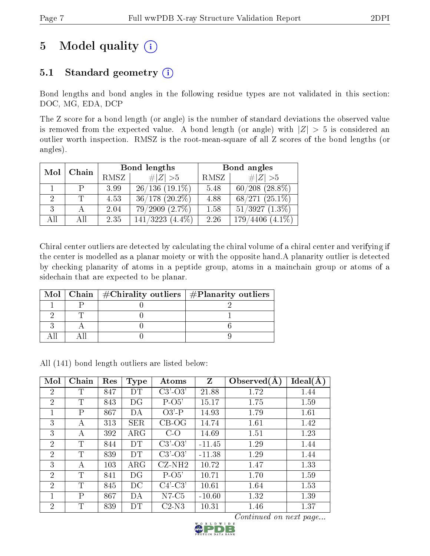# 5 Model quality  $(i)$

### 5.1 Standard geometry  $(i)$

Bond lengths and bond angles in the following residue types are not validated in this section: DOC, MG, EDA, DCP

The Z score for a bond length (or angle) is the number of standard deviations the observed value is removed from the expected value. A bond length (or angle) with  $|Z| > 5$  is considered an outlier worth inspection. RMSZ is the root-mean-square of all Z scores of the bond lengths (or angles).

| Mol | Chain |             | Bond lengths          |      | Bond angles              |  |  |
|-----|-------|-------------|-----------------------|------|--------------------------|--|--|
|     |       | <b>RMSZ</b> | # $ Z >5$             | RMSZ | $\# Z  > 5$              |  |  |
|     |       | 3.99        | $26/136(19.1\%)$      | 5.48 | $60/208$ $(28.8\%)$      |  |  |
|     |       | 4.53        | $36/178$ $(20.2\%)$   | 4.88 | $68/271(25.1\%)$         |  |  |
| 3   |       | 2.04        | $79/2909$ $(2.7\%)$   | 1.58 | $51/3927$ $(1.3\%)$      |  |  |
| All | Αll   | 2.35        | $(4.4\%)$<br>141/3223 | 2.26 | $(4.1\%)$<br>4406<br>179 |  |  |

Chiral center outliers are detected by calculating the chiral volume of a chiral center and verifying if the center is modelled as a planar moiety or with the opposite hand.A planarity outlier is detected by checking planarity of atoms in a peptide group, atoms in a mainchain group or atoms of a sidechain that are expected to be planar.

|  | Mol   Chain   $\#\text{Chirality outliers}$   $\#\text{Planarity outliers}$ |
|--|-----------------------------------------------------------------------------|
|  |                                                                             |
|  |                                                                             |
|  |                                                                             |
|  |                                                                             |

All (141) bond length outliers are listed below:

| Mol            | Chain        | Res | <b>Type</b> | Atoms         | $\mathbf{Z}$ | Observed $(A)$ | Ideal(A) |
|----------------|--------------|-----|-------------|---------------|--------------|----------------|----------|
| 2              | T            | 847 | DТ          | $C3'-O3'$     | 21.88        | 1.72           | 1.44     |
| $\overline{2}$ | T            | 843 | DG          | $P$ -O5'      | 15.17        | 1.75           | 1.59     |
| 1              | $\mathsf{P}$ | 867 | DА          | $O3'$ -P      | 14.93        | 1.79           | 1.61     |
| 3              | А            | 313 | <b>SER</b>  | $CB-OG$       | 14.74        | 1.61           | 1.42     |
| 3              | А            | 392 | $\rm{ARG}$  | $C-O$         | 14.69        | 1.51           | 1.23     |
| 2              | T            | 844 | DT          | $C3'$ - $O3'$ | $-11.45$     | 1.29           | 1.44     |
| 2              | Τ            | 839 | <b>DT</b>   | $C3'-O3'$     | $-11.38$     | 1.29           | 1.44     |
| 3              | А            | 103 | $\rm{ARG}$  | $CZ-NH2$      | 10.72        | 1.47           | 1.33     |
| $\overline{2}$ | T            | 841 | DG          | $P-O5'$       | 10.71        | 1.70           | 1.59     |
| 2              | T            | 845 | DC          | $C4'-C3'$     | 10.61        | 1.64           | 1.53     |
|                | $\mathsf{P}$ | 867 | DА          | $N7-C5$       | $-10.60$     | 1.32           | 1.39     |
| $\overline{2}$ | T            | 839 | DТ          | $C2-N3$       | 10.31        | 1.46           | 1.37     |

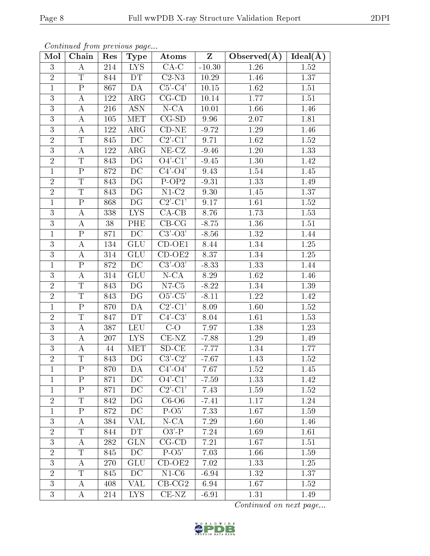| Mol            | . <i>.</i><br>Chain     | $\mathbf{r}$<br>$\operatorname{Res}$ | - 1 - 1 -<br>Type       | Atoms                                 | $\mathbf{Z}$      | Observed $(A)$ | Ideal(A) |
|----------------|-------------------------|--------------------------------------|-------------------------|---------------------------------------|-------------------|----------------|----------|
| 3              | A                       | 214                                  | LYS.                    | $CA-C$                                | $-10.30$          | 1.26           | 1.52     |
| $\overline{2}$ | $\mathbf T$             | 844                                  | DT                      | $C2-N3$                               | 10.29             | 1.46           | 1.37     |
| $\mathbf{1}$   | $\overline{P}$          | 867                                  | DA                      | $C5$ - $C4$ '                         | 10.15             | 1.62           | 1.51     |
| 3              | $\boldsymbol{A}$        | 122                                  | $\rm{ARG}$              | $CG$ - $CD$                           | 10.14             | 1.77           | 1.51     |
| $\mathbf{3}$   | $\boldsymbol{A}$        | 216                                  | <b>ASN</b>              | $N$ -CA                               | 10.01             | 1.66           | 1.46     |
| $\overline{3}$ | А                       | 105                                  | MET                     | $CG-SD$                               | 9.96              | 2.07           | 1.81     |
| 3              | А                       | 122                                  | $\rm{ARG}$              | $CD-NE$                               | $-9.72$           | 1.29           | 1.46     |
| $\overline{2}$ | T                       | 845                                  | $\overline{DC}$         | $C2$ <sup>'</sup> $-C1$ <sup>'</sup>  | 9.71              | 1.62           | 1.52     |
| $\mathbf{3}$   | A                       | 122                                  | $\rm{ARG}$              | $\overline{\text{NE}}$ -CZ            | $-9.46$           | 1.20           | 1.33     |
| $\overline{2}$ | $\overline{\mathrm{T}}$ | 843                                  | DG                      | $O4'$ -C1'                            | $-9.45$           | 1.30           | 1.42     |
| 1              | $\overline{\mathrm{P}}$ | 872                                  | DC                      | $C4'-O4'$                             | 9.43              | 1.54           | 1.45     |
| $\overline{2}$ | $\mathbf T$             | 843                                  | DG                      | $P-OP2$                               | $-9.31$           | 1.33           | 1.49     |
| $\overline{2}$ | $\overline{\mathrm{T}}$ | 843                                  | DG                      | $N1-C2$                               | $\overline{9.30}$ | $1.45\,$       | 1.37     |
| $\mathbf{1}$   | $\mathbf P$             | 868                                  | DG                      | $C2$ '-C1'                            | 9.17              | 1.61           | 1.52     |
| $\overline{3}$ | $\boldsymbol{A}$        | 338                                  | $\overline{\text{LYS}}$ | $CA-CB$                               | 8.76              | 1.73           | 1.53     |
| 3              | $\boldsymbol{A}$        | 38                                   | PHE                     | $CB-CG$                               | $-8.75$           | 1.36           | 1.51     |
| $\mathbf{1}$   | $\mathbf P$             | 871                                  | DC                      | $\overline{C}3'$ -O3'                 | $-8.56$           | 1.32           | 1.44     |
| 3              | $\boldsymbol{A}$        | 134                                  | GLU                     | $CD-OE1$                              | 8.44              | 1.34           | 1.25     |
| 3              | A                       | 314                                  | GLU                     | $CD-OE2$                              | 8.37              | 1.34           | 1.25     |
| $\mathbf 1$    | $\mathbf P$             | 872                                  | DC                      | $C3'-O3'$                             | $-8.33$           | 1.33           | 1.44     |
| 3              | А                       | 314                                  | <b>GLU</b>              | $N$ -CA                               | 8.29              | 1.62           | 1.46     |
| $\overline{2}$ | T                       | 843                                  | DG                      | $N7-C5$                               | $-8.22$           | 1.34           | 1.39     |
| $\overline{2}$ | $\overline{T}$          | 843                                  | DG                      | $O5'-C5'$                             | $-8.11$           | 1.22           | 1.42     |
| $\mathbf{1}$   | $\mathbf P$             | 870                                  | DA                      | $C2$ <sup>-</sup> $C1$ <sup>'</sup>   | 8.09              | 1.60           | 1.52     |
| $\overline{2}$ | $\overline{\mathrm{T}}$ | 847                                  | <b>DT</b>               | $\overline{C4'-C3}$                   | 8.04              | 1.61           | 1.53     |
| 3              | $\bf{A}$                | 387                                  | LEU                     | $C-O$                                 | 7.97              | 1.38           | 1.23     |
| 3              | А                       | 207                                  | LYS.                    | $CE-NZ$                               | $-7.88$           | 1.29           | 1.49     |
| $\mathbf{3}$   | А                       | 44                                   | MET                     | $SD-CE$                               | $-7.77$           | 1.34           | 1.77     |
| $\overline{2}$ | $\mathbf T$             | 843                                  | DG                      | $C3'-C2'$                             | $-7.67$           | 1.43           | 1.52     |
| 1              | P                       | 870                                  | DA                      | $C4'-O4'$                             | 7.67              | 1.52           | 1.45     |
| 1              | $\mathbf{P}$            | 871                                  | DC                      | $O4'$ -C1'                            | $-7.59$           | 1.33           | $1.42\,$ |
| $\mathbf{1}$   | ${\bf P}$               | 871                                  | DC                      | $C2$ <sup>'</sup> - $C1$ <sup>'</sup> | 7.43              | 1.59           | 1.52     |
| $\overline{2}$ | T                       | 842                                  | DG                      | $C6-06$                               | $-7.41$           | 1.17           | 1.24     |
| $\mathbf{1}$   | $\overline{\mathrm{P}}$ | 872                                  | DC                      | $P-O5'$                               | 7.33              | 1.67           | 1.59     |
| 3              | А                       | 384                                  | VAL                     | $\overline{\text{N-CA}}$              | 7.29              | 1.60           | 1.46     |
| $\overline{2}$ | T                       | 844                                  | DT                      | $O3'$ -P                              | 7.24              | 1.69           | 1.61     |
| 3              | А                       | 282                                  | <b>GLN</b>              | $CG$ - $CD$                           | 7.21              | 1.67           | 1.51     |
| $\overline{2}$ | T                       | 845                                  | DC                      | $P-O5'$                               | 7.03              | 1.66           | 1.59     |
| $\overline{3}$ | А                       | 270                                  | <b>GLU</b>              | $CD-OE2$                              | 7.02              | 1.33           | 1.25     |
| $\overline{2}$ | T                       | 845                                  | DC                      | $N1-C6$                               | $-6.94$           | 1.32           | 1.37     |
| 3              | A                       | 408                                  | VAL                     | $CB-CG2$                              | 6.94              | 1.67           | 1.52     |
| 3              | Α                       | 214                                  | <b>LYS</b>              | $CE-NZ$                               | $-6.91$           | 1.31           | 1.49     |

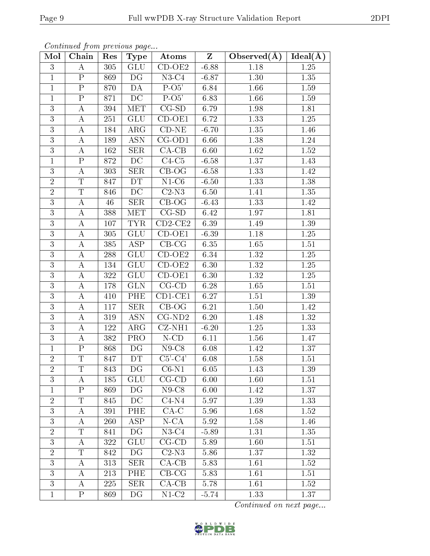| Mol            | . <i>.</i><br>Chain     | Res | - 1 - 1 -<br>Type       | Atoms                       | $Z_{\parallel}$ | Observed $(\AA)$ | Ideal(A) |
|----------------|-------------------------|-----|-------------------------|-----------------------------|-----------------|------------------|----------|
| 3              | A                       | 305 | GLU                     | $\overline{\text{CD-OE2}}$  | $-6.88$         | 1.18             | 1.25     |
| $\mathbf{1}$   | $\mathbf{P}$            | 869 | DG                      | $N3-C4$                     | $-6.87$         | 1.30             | 1.35     |
| $\mathbf 1$    | $\overline{P}$          | 870 | DA                      | $\overline{P-O5'}$          | 6.84            | 1.66             | 1.59     |
| $\mathbf{1}$   | ${\bf P}$               | 871 | DC                      | $P-O5'$                     | 6.83            | 1.66             | 1.59     |
| $\overline{3}$ | $\boldsymbol{A}$        | 394 | <b>MET</b>              | $CG-SD$                     | 6.79            | 1.98             | 1.81     |
| 3              | А                       | 251 | <b>GLU</b>              | $CD-OE1$                    | 6.72            | 1.33             | 1.25     |
| 3              | А                       | 184 | $\rm{ARG}$              | $CD-NE$                     | $-6.70$         | 1.35             | 1.46     |
| 3              | А                       | 189 | <b>ASN</b>              | $CG-OD1$                    | 6.66            | 1.38             | 1.24     |
| $\overline{3}$ | A                       | 162 | <b>SER</b>              | $CA-CB$                     | 6.60            | 1.62             | 1.52     |
| $\mathbf{1}$   | $\overline{\mathrm{P}}$ | 872 | DC                      | $C4-C5$                     | $-6.58$         | 1.37             | 1.43     |
| 3              | А                       | 303 | <b>SER</b>              | $CB-OG$                     | $-6.58$         | 1.33             | 1.42     |
| $\overline{2}$ | T                       | 847 | DT                      | $N1-C6$                     | $-6.50$         | 1.33             | 1.38     |
| $\overline{2}$ | $\overline{\mathrm{T}}$ | 846 | $\overline{DC}$         | $C2-N3$                     | 6.50            | 1.41             | $1.35\,$ |
| 3              | А                       | 46  | <b>SER</b>              | $CB-OG$                     | $-6.43$         | 1.33             | 1.42     |
| $\overline{3}$ | A                       | 388 | MET                     | $CG-SD$                     | 6.42            | 1.97             | 1.81     |
| 3              | $\boldsymbol{A}$        | 107 | <b>TYR</b>              | $CD2-CE2$                   | 6.39            | 1.49             | 1.39     |
| $\mathbf{3}$   | $\boldsymbol{A}$        | 305 | <b>GLU</b>              | $\overline{CD}-OE1$         | $-6.39$         | 1.18             | 1.25     |
| 3              | $\boldsymbol{A}$        | 385 | $\overline{\text{ASP}}$ | $CB-CG$                     | 6.35            | 1.65             | 1.51     |
| 3              | А                       | 288 | <b>GLU</b>              | $CD-OE2$                    | 6.34            | 1.32             | 1.25     |
| $\overline{3}$ | $\boldsymbol{A}$        | 134 | GLU                     | $CD-OE2$                    | 6.30            | 1.32             | 1.25     |
| 3              | А                       | 322 | <b>GLU</b>              | $CD-OE1$                    | 6.30            | 1.32             | 1.25     |
| 3              | А                       | 178 | <b>GLN</b>              | $CG$ - $CD$                 | 6.28            | 1.65             | 1.51     |
| 3              | А                       | 410 | PHE                     | $\overline{\text{CD1-CE1}}$ | 6.27            | 1.51             | 1.39     |
| 3              | А                       | 117 | SER                     | $CB-OG$                     | 6.21            | 1.50             | 1.42     |
| $\overline{3}$ | А                       | 319 | <b>ASN</b>              | $CG-ND2$                    | 6.20            | 1.48             | 1.32     |
| 3              | А                       | 122 | ${\rm ARG}$             | $\overline{C}$ Z-NH1        | $-6.20$         | 1.25             | 1.33     |
| 3              | А                       | 382 | <b>PRO</b>              | $N$ -CD                     | 6.11            | 1.56             | 1.47     |
| $\mathbf{1}$   | $\mathbf P$             | 868 | DG                      | $N9$ -C8                    | 6.08            | 1.42             | 1.37     |
| $\overline{2}$ | $\mathbf T$             | 847 | <b>DT</b>               | $C5'-C4'$                   | 6.08            | 1.58             | 1.51     |
| $\overline{2}$ | T                       | 843 | DG                      | $C6-N1$                     | 6.05            | 1.43             | 1.39     |
| 3              | A                       | 185 | <b>GLU</b>              | $CG$ - $CD$                 | 6.00            | 1.60             | 1.51     |
| $\mathbf{1}$   | $\overline{\mathrm{P}}$ | 869 | DG                      | $N9$ -C $8$                 | 6.00            | 1.42             | 1.37     |
| $\overline{2}$ | T                       | 845 | DC                      | $C4-N4$                     | 5.97            | 1.39             | 1.33     |
| 3              | А                       | 391 | PHE                     | $CA-C$                      | 5.96            | 1.68             | 1.52     |
| 3              | А                       | 260 | ASP                     | $N\text{-}\mathrm{CA}$      | 5.92            | 1.58             | 1.46     |
| $\overline{2}$ | Τ                       | 841 | DG                      | $N3-C4$                     | $-5.89$         | 1.31             | 1.35     |
| 3              | А                       | 322 | <b>GLU</b>              | $CG$ - $CD$                 | 5.89            | 1.60             | 1.51     |
| $\overline{2}$ | T                       | 842 | DG                      | $C2-N3$                     | 5.86            | 1.37             | 1.32     |
| $\overline{3}$ | А                       | 313 | SER                     | $CA-C\overline{B}$          | 5.83            | 1.61             | 1.52     |
| 3              | A                       | 213 | <b>PHE</b>              | $CB-CG$                     | 5.83            | 1.61             | 1.51     |
| 3              | А                       | 225 | SER                     | $CA-CB$                     | 5.78            | 1.61             | 1.52     |
| $\mathbf{1}$   | $\overline{\mathrm{P}}$ | 869 | DG                      | $N1-C2$                     | $-5.74$         | 1.33             | 1.37     |

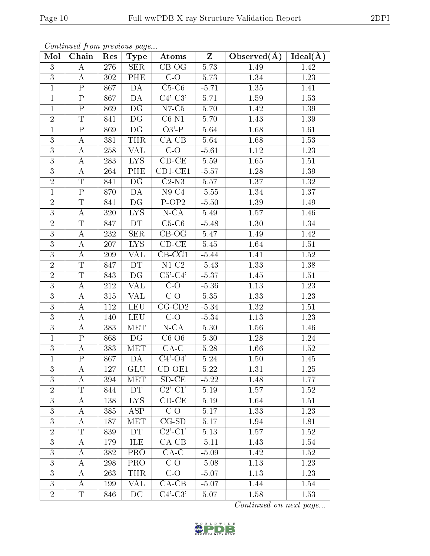| Mol            | Chain                   | Res | Type                    | Atoms                      | $\mathbf{Z}$ | Observed $(\overline{A})$ | Ideal $(A)$ |
|----------------|-------------------------|-----|-------------------------|----------------------------|--------------|---------------------------|-------------|
| 3              | $\bf{A}$                | 276 | <b>SER</b>              | $CB-OG$                    | 5.73         | 1.49                      | 1.42        |
| 3              | $\bf{A}$                | 302 | PHE                     | $C-O$                      | 5.73         | 1.34                      | 1.23        |
| $\mathbf 1$    | ${\bf P}$               | 867 | DA                      | $C5-C6$                    | $-5.71$      | 1.35                      | 1.41        |
| $\mathbf{1}$   | ${\bf P}$               | 867 | DA                      | $C4'-C3'$                  | 5.71         | 1.59                      | 1.53        |
| $\mathbf{1}$   | ${\bf P}$               | 869 | DG                      | $N7-C5$                    | 5.70         | 1.42                      | 1.39        |
| $\overline{2}$ | $\overline{T}$          | 841 | DG                      | $C6-N1$                    | 5.70         | 1.43                      | 1.39        |
| $\mathbf{1}$   | $\overline{P}$          | 869 | DG                      | $O3'$ -P                   | 5.64         | 1.68                      | 1.61        |
| 3              | А                       | 381 | <b>THR</b>              | $CA-CB$                    | 5.64         | 1.68                      | 1.53        |
| $\mathbf{3}$   | $\bf{A}$                | 258 | <b>VAL</b>              | $C-O$                      | $-5.61$      | 1.12                      | 1.23        |
| 3              | $\bf{A}$                | 283 | <b>LYS</b>              | $CD-CE$                    | 5.59         | 1.65                      | 1.51        |
| 3              | А                       | 264 | PHE                     | $CD1-CE1$                  | $-5.57$      | 1.28                      | 1.39        |
| $\overline{2}$ | T                       | 841 | DG                      | $C2-N3$                    | 5.57         | 1.37                      | 1.32        |
| $\mathbf{1}$   | $\overline{P}$          | 870 | $\overline{DA}$         | $N9-C4$                    | $-5.55$      | 1.34                      | 1.37        |
| $\overline{2}$ | $\mathbf T$             | 841 | DG                      | P-OP <sub>2</sub>          | $-5.50$      | 1.39                      | 1.49        |
| 3              | $\overline{\rm A}$      | 320 | $\overline{\text{LYS}}$ | $N$ -CA                    | 5.49         | 1.57                      | 1.46        |
| $\overline{2}$ | T                       | 847 | DT                      | $C5-C6$                    | $-5.48$      | 1.30                      | 1.34        |
| 3              | $\bf{A}$                | 232 | <b>SER</b>              | $\overline{C}$ B-OG        | 5.47         | 1.49                      | 1.42        |
| $\overline{3}$ | А                       | 207 | <b>LYS</b>              | $CD-CE$                    | 5.45         | 1.64                      | 1.51        |
| 3              | А                       | 209 | <b>VAL</b>              | $CB-CG1$                   | $-5.44$      | 1.41                      | 1.52        |
| $\overline{2}$ | $\overline{\mathrm{T}}$ | 847 | DT                      | $N1-C2$                    | $-5.43$      | 1.33                      | 1.38        |
| $\overline{2}$ | $\mathbf T$             | 843 | DG                      | $C5$ - $C4$ '              | $-5.37$      | 1.45                      | 1.51        |
| $\overline{3}$ | $\bf{A}$                | 212 | <b>VAL</b>              | $C-O$                      | $-5.36$      | 1.13                      | 1.23        |
| 3              | А                       | 315 | <b>VAL</b>              | $C-O$                      | 5.35         | 1.33                      | 1.23        |
| 3              | А                       | 112 | LEU                     | $CG$ - $CD2$               | $-5.34$      | 1.32                      | 1.51        |
| 3              | А                       | 140 | <b>LEU</b>              | $C-O$                      | $-5.34$      | 1.13                      | 1.23        |
| 3              | А                       | 383 | <b>MET</b>              | $N$ -CA                    | 5.30         | 1.56                      | 1.46        |
| $\mathbf{1}$   | $\mathbf P$             | 868 | DG                      | $C6--O6$                   | 5.30         | 1.28                      | 1.24        |
| 3              | А                       | 383 | MET                     | $CA-C$                     | 5.28         | 1.66                      | 1.52        |
| $\mathbf{1}$   | ${\bf P}$               | 867 | DA                      | $C4'-O4'$                  | 5.24         | 1.50                      | 1.45        |
| 3              | A                       | 127 | <b>GLU</b>              | $CD-OE1$                   | 5.22         | 1.31                      | 1.25        |
| 3              | A                       | 394 | MET                     | $SD-CE$                    | $-5.22$      | 1.48                      | 1.77        |
| $\overline{2}$ | $\overline{T}$          | 844 | <b>DT</b>               | $\overline{\text{C2'-C1}}$ | 5.19         | 1.57                      | 1.52        |
| 3              | A                       | 138 | <b>LYS</b>              | $CD$ - $CE$                | 5.19         | 1.64                      | 1.51        |
| 3              | А                       | 385 | <b>ASP</b>              | $C-O$                      | 5.17         | 1.33                      | 1.23        |
| 3              | А                       | 187 | MET                     | $CG-SD$                    | 5.17         | 1.94                      | 1.81        |
| $\overline{2}$ | $\mathbf T$             | 839 | <b>DT</b>               | $C2$ '- $C1$ '             | 5.13         | 1.57                      | 1.52        |
| $\mathbf{3}$   | А                       | 179 | ILE                     | $CA-CB$                    | $-5.11$      | 1.43                      | 1.54        |
| 3              | А                       | 382 | PRO                     | $CA-C$                     | $-5.09$      | 1.42                      | 1.52        |
| 3              | А                       | 298 | <b>PRO</b>              | $C-O$                      | $-5.08$      | 1.13                      | 1.23        |
| 3              | А                       | 263 | <b>THR</b>              | $C-O$                      | $-5.07$      | 1.13                      | 1.23        |
| 3              | A                       | 199 | $\overline{\text{VAL}}$ | $CA-CB$                    | $-5.07$      | 1.44                      | 1.54        |
| $\overline{2}$ | T                       | 846 | DC                      | $C4'-C3'$                  | 5.07         | 1.58                      | 1.53        |

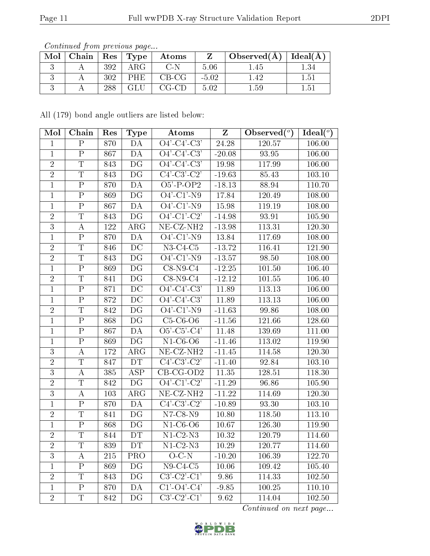| Mol | Chain |     | $\mid$ Res $\mid$ Type | Atoms   |         | Observed( $\AA$ )   Ideal( $\AA$ ) |               |
|-----|-------|-----|------------------------|---------|---------|------------------------------------|---------------|
|     |       | 392 | ${\rm ARG}$            | C-N     | 5.06    | .45                                |               |
|     |       | 302 | PHE.                   | $CB-CG$ | $-5.02$ | .42                                | 1.51          |
|     |       | 288 | GLU                    | $CG-CD$ | 5.02    | .59                                | $1.5^{\circ}$ |

All (179) bond angle outliers are listed below:

| Mol            | Chain                   | Res | <b>Type</b>              | Atoms                                                     | $\mathbf{Z}$ | Observed $(°)$ | Ideal $(^\circ)$ |
|----------------|-------------------------|-----|--------------------------|-----------------------------------------------------------|--------------|----------------|------------------|
| $\mathbf{1}$   | $\overline{P}$          | 870 | DA                       | $O4'-C4'-C3'$                                             | 24.28        | 120.57         | 106.00           |
| $\mathbf 1$    | $\mathbf P$             | 867 | DA                       | $O4'$ -C4'-C3'                                            | $-20.08$     | 93.95          | 106.00           |
| $\overline{2}$ | T                       | 843 | DG                       | $\overline{O4'-C4'-C3'}$                                  | 19.98        | 117.99         | 106.00           |
| $\overline{2}$ | $\mathbf T$             | 843 | DG                       | $C4'-C3'-C2'$                                             | $-19.63$     | 85.43          | 103.10           |
| $\mathbf{1}$   | ${\bf P}$               | 870 | DA                       | $O5'$ -P-OP2                                              | $-18.13$     | 88.94          | 110.70           |
| $\mathbf{1}$   | $\overline{P}$          | 869 | DG                       | $O4'$ -C1'-N9                                             | 17.84        | 120.49         | 108.00           |
| $\mathbf 1$    | ${\bf P}$               | 867 | DA                       | $O4'$ -C1'-N9                                             | 15.98        | 119.19         | 108.00           |
| $\sqrt{2}$     | $\overline{T}$          | 843 | DG                       | $\overline{O4'-C1'-C2'}$                                  | $-14.98$     | 93.91          | 105.90           |
| 3              | $\bf{A}$                | 122 | $\rm{ARG}$               | $NE- CZ-NH2$                                              | $-13.98$     | 113.31         | 120.30           |
| $\mathbf{1}$   | $\overline{P}$          | 870 | DA                       | $O4'$ -C1'-N9                                             | 13.84        | 117.69         | 108.00           |
| $\overline{2}$ | $\overline{T}$          | 846 | DC                       | $\overline{\text{N3-C4-C5}}$                              | $-13.72$     | 116.41         | 121.90           |
| $\sqrt{2}$     | $\mathbf T$             | 843 | DG                       | $O4'$ -C1'-N9                                             | $-13.57$     | 98.50          | 108.00           |
| $\mathbf{1}$   | $\overline{P}$          | 869 | DG                       | $C8-N9-C4$                                                | $-12.25$     | 101.50         | 106.40           |
| $\sqrt{2}$     | $\overline{T}$          | 841 | DG                       | $C8-N9-C4$                                                | $-12.12$     | 101.55         | 106.40           |
| $\mathbf{1}$   | $\overline{P}$          | 871 | DC                       | $\overline{O4'-C4'-C3'}$                                  | 11.89        | 113.13         | 106.00           |
| $\mathbf{1}$   | $\mathbf P$             | 872 | DC                       | $O4'-C4'-C3'$                                             | 11.89        | 113.13         | 106.00           |
| $\sqrt{2}$     | $\mathbf T$             | 842 | DG                       | $\overline{O4}$ <sup>'</sup> -C1'-N9                      | $-11.63$     | 99.86          | 108.00           |
| $\mathbf{1}$   | $\overline{P}$          | 868 | DG                       | $C5-C6-O6$                                                | $-11.56$     | 121.66         | 128.60           |
| $\mathbf{1}$   | ${\bf P}$               | 867 | DA                       | $O5'$ -C5'-C4'                                            | 11.48        | 139.69         | 111.00           |
| $\mathbf{1}$   | $\overline{\mathrm{P}}$ | 869 | $\overline{\mathrm{DG}}$ | $N1-C6-O6$                                                | $-11.46$     | 113.02         | 119.90           |
| 3              | $\bf{A}$                | 172 | $\rm{ARG}$               | NE-CZ-NH <sub>2</sub>                                     | $-11.45$     | 114.58         | 120.30           |
| $\overline{2}$ | $\overline{T}$          | 847 | DT                       | $C4'-C3'-C2'$                                             | $-11.40$     | 92.84          | 103.10           |
| $\overline{3}$ | $\bf{A}$                | 385 | <b>ASP</b>               | $CB-CG-OD2$                                               | 11.35        | 128.51         | 118.30           |
| $\overline{2}$ | $\mathbf T$             | 842 | DG                       | $O4'$ -C1'-C2'                                            | $-11.29$     | 96.86          | 105.90           |
| $\overline{3}$ | $\bf{A}$                | 103 | $\rm{ARG}$               | $NE-CZ-NH2$                                               | $-11.22$     | 114.69         | 120.30           |
| $\mathbf{1}$   | ${\bf P}$               | 870 | DA                       | $C4'-C3'-C2'$                                             | $-10.89$     | 93.30          | 103.10           |
| $\overline{2}$ | T                       | 841 | $\overline{D}G$          | $N7$ -C8- $N9$                                            | 10.80        | 118.50         | 113.10           |
| $\mathbf{1}$   | $\mathbf P$             | 868 | DG                       | $N1-C6-O6$                                                | 10.67        | 126.30         | 119.90           |
| $\overline{2}$ | $\mathbf T$             | 844 | DT                       | $N1-C2-N3$                                                | 10.32        | 120.79         | 114.60           |
| $\overline{2}$ | $\mathbf T$             | 839 | DT.                      | $N1-C2-N3$                                                | 10.29        | 120.77         | 114.60           |
| 3              | A                       | 215 | <b>PRO</b>               | $O-C-N$                                                   | $-10.20$     | 106.39         | 122.70           |
| $\mathbf{1}$   | $\mathbf P$             | 869 | DG                       | $N9-C4-C5$                                                | 10.06        | 109.42         | 105.40           |
| $\overline{2}$ | $\mathbf T$             | 843 | DG                       | $C3'-C2'-C1'$                                             | 9.86         | 114.33         | 102.50           |
| $\mathbf{1}$   | $\mathbf P$             | 870 | DA                       | $C1$ <sup>'</sup> - $O4$ <sup>'</sup> - $C4$ <sup>'</sup> | $-9.85$      | 100.25         | 110.10           |
| $\overline{2}$ | $\mathbf T$             | 842 | $\mathop{\rm DG}$        | $C3'-C2'-C1'$                                             | 9.62         | 114.04         | 102.50           |

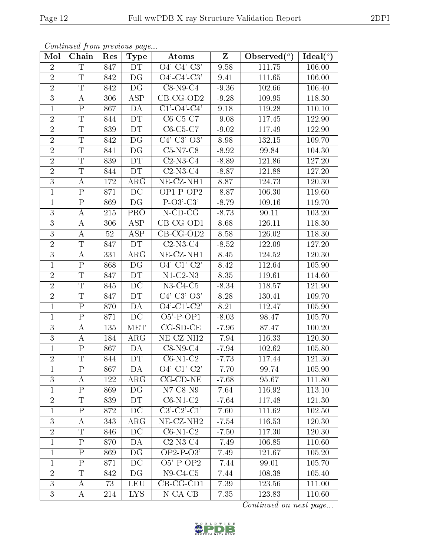| Mol            | Chain                   | Res | <b>Type</b>              | Atoms                          | $Z_{\parallel}$ | Observed $(°)$ | Ideal $(\overline{\overline{O}})$ |
|----------------|-------------------------|-----|--------------------------|--------------------------------|-----------------|----------------|-----------------------------------|
| $\overline{2}$ | $\mathbf T$             | 847 | DT                       | $O4'-C4'-C3'$                  | 9.58            | 111.75         | 106.00                            |
| $\overline{2}$ | $\mathbf T$             | 842 | DG                       | $O4'-C4'-C3'$                  | 9.41            | 111.65         | 106.00                            |
| $\overline{2}$ | $\overline{T}$          | 842 | $\overline{\mathrm{DG}}$ | $C8-N9-C4$                     | $-9.36$         | 102.66         | 106.40                            |
| $\overline{3}$ | $\bf{A}$                | 306 | ASP                      | $CB-CG-OD2$                    | $-9.28$         | 109.95         | 118.30                            |
| $\overline{1}$ | $\overline{P}$          | 867 | DA                       | $C1'$ - $O4'$ - $C4'$          | 9.18            | 119.28         | 110.10                            |
| $\overline{2}$ | $\mathbf T$             | 844 | DT                       | $C6-C5-C7$                     | $-9.08$         | 117.45         | 122.90                            |
| $\overline{2}$ | T                       | 839 | DT                       | $C6-C5-C7$                     | $-9.02$         | 117.49         | 122.90                            |
| $\overline{2}$ | T                       | 842 | DG                       | $C4'$ - $C3'$ - $O3'$          | 8.98            | 132.15         | 109.70                            |
| $\overline{2}$ | $\overline{T}$          | 841 | DG                       | $C5-N7-C8$                     | $-8.92$         | 99.84          | 104.30                            |
| $\overline{2}$ | $\overline{\mathrm{T}}$ | 839 | DT                       | $C2-N3-C4$                     | $-8.89$         | 121.86         | 127.20                            |
| $\overline{2}$ | T                       | 844 | DT                       | $C2-N3-C4$                     | $-8.87$         | 121.88         | 127.20                            |
| $\overline{3}$ | $\bf{A}$                | 172 | $\rm{ARG}$               | $\overline{\text{NE- CZ-NH1}}$ | 8.87            | 124.73         | 120.30                            |
| $\mathbf{1}$   | $\mathbf P$             | 871 | DC                       | $OP1-P-OP2$                    | $-8.87$         | 106.30         | 119.60                            |
| $\mathbf{1}$   | $\mathbf P$             | 869 | DG                       | $P-O3'-C3'$                    | $-8.79$         | 109.16         | 119.70                            |
| 3              | $\bf{A}$                | 215 | PRO                      | $N$ -CD-CG                     | $-8.73$         | 90.11          | 103.20                            |
| 3              | $\bf{A}$                | 306 | ASP                      | $CB-CG-OD1$                    | 8.68            | 126.11         | 118.30                            |
| $\overline{3}$ | A                       | 52  | ASP                      | $CB-CG-OD2$                    | 8.58            | 126.02         | 118.30                            |
| $\overline{2}$ | T                       | 847 | DT                       | $C2-N3-C4$                     | $-8.52$         | 122.09         | 127.20                            |
| 3              | A                       | 331 | $\rm{ARG}$               | NE-CZ-NH1                      | 8.45            | 124.52         | 120.30                            |
| $\mathbf{1}$   | ${\bf P}$               | 868 | DG                       | $O4'-C1'-C2'$                  | 8.42            | 112.64         | 105.90                            |
| $\overline{2}$ | T                       | 847 | DT                       | $N1-C2-N3$                     | 8.35            | 119.61         | 114.60                            |
| $\overline{2}$ | $\mathbf T$             | 845 | $\overline{DC}$          | $N3-C4-C5$                     | $-8.34$         | 118.57         | 121.90                            |
| $\overline{2}$ | $\mathbf T$             | 847 | DT                       | $C4'$ - $C3'$ - $O3'$          | 8.28            | 130.41         | 109.70                            |
| $\overline{1}$ | $\overline{\mathrm{P}}$ | 870 | DA                       | $Q\overline{4'-C1'-C2'}$       | 8.21            | 112.47         | 105.90                            |
| $\mathbf{1}$   | ${\bf P}$               | 871 | DC                       | $\overline{O5' - P}$ -OP1      | $-8.03$         | 98.47          | 105.70                            |
| 3              | $\bf{A}$                | 135 | MET                      | $CG-SD-CE$                     | $-7.96$         | 87.47          | 100.20                            |
| $\overline{3}$ | $\bf{A}$                | 184 | $\rm{ARG}$               | $NE- CZ-NH2$                   | $-7.94$         | 116.33         | 120.30                            |
| $\mathbf{1}$   | ${\bf P}$               | 867 | DA                       | $C8-N9-C4$                     | $-7.94$         | 102.62         | 105.80                            |
| $\overline{2}$ | $\overline{\mathrm{T}}$ | 844 | DT                       | $C6-N1-C2$                     | $-7.73$         | 117.44         | 121.30                            |
| $\mathbf{1}$   | $\mathbf P$             | 867 | DA                       | $\overline{O4'-C1'-C2'}$       | $-7.70$         | 99.74          | 105.90                            |
| 3              | A                       | 122 | $\rm{ARG}$               | $CG$ - $CD$ - $NE$             | $-7.68$         | 95.67          | 111.80                            |
| $\mathbf{1}$   | $\mathbf{P}$            | 869 | DG                       | $N7$ -C8- $N9$                 | 7.64            | 116.92         | 113.10                            |
| $\overline{2}$ | T                       | 839 | DT                       | $C6-N1-C2$                     | $-7.64$         | 117.48         | 121.30                            |
| $\mathbf{1}$   | $\mathbf P$             | 872 | DC                       | $C3'-C2'-C1'$                  | 7.60            | 111.62         | 102.50                            |
| 3              | A                       | 343 | $\rm{ARG}$               | NE-CZ-NH <sub>2</sub>          | $-7.54$         | 116.53         | 120.30                            |
| $\overline{2}$ | T                       | 846 | DC                       | $C6-N1-C2$                     | $-7.50$         | 117.30         | 120.30                            |
| $\mathbf{1}$   | $\mathbf P$             | 870 | DА                       | $C2-N3-C4$                     | -7.49           | 106.85         | 110.60                            |
| $\mathbf{1}$   | $\mathbf{P}$            | 869 | DG                       | $OP2-P-O3'$                    | 7.49            | 121.67         | 105.20                            |
| $\mathbf{1}$   | $\mathbf P$             | 871 | DC                       | $O5'$ -P-OP2                   | $-7.44$         | 99.01          | 105.70                            |
| $\overline{2}$ | T                       | 842 | DG                       | $N9-C4-C5$                     | 7.44            | 108.38         | 105.40                            |
| $\overline{3}$ | A                       | 73  | <b>LEU</b>               | $CB-CG-CD1$                    | 7.39            | 123.56         | 111.00                            |
| 3              | A                       | 214 | LYS.                     | $N$ -CA-CB                     | 7.35            | 123.83         | 110.60                            |

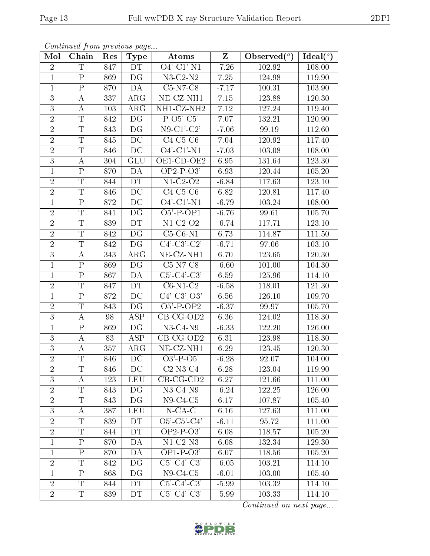| Mol            | Chain                   | Res | Type                    | Atoms                                | $Z_{\parallel}$ | Observed $(°)$ | Ideal $(°)$ |
|----------------|-------------------------|-----|-------------------------|--------------------------------------|-----------------|----------------|-------------|
| $\sqrt{2}$     | $\mathbf T$             | 847 | <b>DT</b>               | $\overline{O4'-C1'-N1}$              | $-7.26$         | 102.92         | 108.00      |
| $\mathbf{1}$   | $\mathbf{P}$            | 869 | DG                      | $N3-C2-N2$                           | 7.25            | 124.98         | 119.90      |
| $\mathbf{1}$   | $\overline{\mathrm{P}}$ | 870 | DA                      | $C5-N7-C8$                           | $-7.17$         | 100.31         | 103.90      |
| 3              | A                       | 337 | $\rm{ARG}$              | $NE-CL-NH1$                          | 7.15            | 123.88         | 120.30      |
| $\overline{3}$ | $\bf{A}$                | 103 | $\rm{ARG}$              | NH1-CZ-NH2                           | 7.12            | 127.24         | 119.40      |
| $\overline{2}$ | T                       | 842 | DG                      | $P-O5'-C5'$                          | 7.07            | 132.21         | 120.90      |
| $\overline{2}$ | $\overline{T}$          | 843 | DG                      | $N9$ -C1'-C2'                        | $-7.06$         | 99.19          | 112.60      |
| $\overline{2}$ | $\mathbf T$             | 845 | DC                      | $C4-C5-C6$                           | 7.04            | 120.92         | 117.40      |
| $\overline{2}$ | T                       | 846 | DC                      | $O4'$ -C1'-N1                        | $-7.03$         | $103.08\,$     | 108.00      |
| $\overline{3}$ | $\bf{A}$                | 304 | GLU                     | OE1-CD-OE2                           | 6.95            | 131.64         | 123.30      |
| $\mathbf{1}$   | ${\bf P}$               | 870 | DA                      | $OP2-P-O3'$                          | 6.93            | 120.44         | 105.20      |
| $\overline{2}$ | $\overline{\mathrm{T}}$ | 844 | DT                      | $N1-C2-O2$                           | $-6.84$         | 117.63         | 123.10      |
| $\overline{2}$ | T                       | 846 | DC                      | $C4-C5-C6$                           | 6.82            | 120.81         | 117.40      |
| $\mathbf 1$    | ${\bf P}$               | 872 | DC                      | $\overline{O4}$ <sup>'</sup> -C1'-N1 | $-6.79$         | 103.24         | 108.00      |
| $\overline{2}$ | $\overline{T}$          | 841 | DG                      | $O5'$ -P-OP1                         | $-6.76$         | 99.61          | 105.70      |
| $\overline{2}$ | $\mathbf T$             | 839 | <b>DT</b>               | $N1-C2-O2$                           | $-6.74$         | 117.71         | 123.10      |
| $\overline{2}$ | $\overline{T}$          | 842 | DG                      | $C5-C6-N1$                           | 6.73            | 114.87         | 111.50      |
| $\overline{2}$ | T                       | 842 | DG                      | $C4'-C3'-C2'$                        | $-6.71$         | 97.06          | 103.10      |
| 3              | $\bf{A}$                | 343 | $\rm{ARG}$              | NE-CZ-NH1                            | 6.70            | 123.65         | 120.30      |
| $\mathbf{1}$   | $\mathbf P$             | 869 | DG                      | $\overline{\text{C5-N7-C8}}$         | $-6.60$         | 101.00         | 104.30      |
| $\mathbf{1}$   | $\mathbf P$             | 867 | DA                      | $C5'-C4'-C3'$                        | 6.59            | 125.96         | 114.10      |
| $\overline{2}$ | $\overline{T}$          | 847 | DT                      | $C6-N1-C2$                           | $-6.58$         | 118.01         | 121.30      |
| $\mathbf{1}$   | ${\bf P}$               | 872 | DC                      | $C4'$ - $C3'$ - $O3'$                | 6.56            | 126.10         | 109.70      |
| $\overline{2}$ | $\overline{\mathrm{T}}$ | 843 | DG                      | $O5'$ -P-OP2                         | $-6.37$         | 99.97          | 105.70      |
| $\overline{3}$ | A                       | 98  | <b>ASP</b>              | $CB-CG-OD2$                          | 6.36            | 124.02         | 118.30      |
| $\mathbf{1}$   | ${\bf P}$               | 869 | DG                      | $N3-C4-N9$                           | $-6.33$         | 122.20         | 126.00      |
| $\overline{3}$ | $\bf{A}$                | 83  | $\overline{\text{ASP}}$ | $CB-CG-OD2$                          | 6.31            | 123.98         | 118.30      |
| 3              | $\bf{A}$                | 357 | $\rm{ARG}$              | $NE- CZ-NH1$                         | 6.29            | $123.45\,$     | 120.30      |
| $\overline{2}$ | $\overline{T}$          | 846 | DC                      | $O3'$ -P- $O5'$                      | $-6.28$         | 92.07          | 104.00      |
| $\overline{2}$ | T                       | 846 | DC                      | $C2-N3-C4$                           | 6.28            | 123.04         | 119.90      |
| $\overline{3}$ | A                       | 123 | LEU                     | $CB-CG-CD2$                          | 6.27            | 121.66         | 111.00      |
| $\overline{2}$ | T                       | 843 | DG                      | $N3-C4-N9$                           | $-6.24$         | 122.25         | 126.00      |
| $\overline{2}$ | T                       | 843 | DG                      | $N9-C4-C5$                           | 6.17            | 107.87         | 105.40      |
| $\overline{3}$ | A                       | 387 | <b>LEU</b>              | $N$ -CA-C                            | 6.16            | 127.63         | 111.00      |
| $\overline{2}$ | T                       | 839 | <b>DT</b>               | $O5'-C5'-C4'$                        | $-6.11$         | 95.72          | 111.00      |
| $\overline{2}$ | T                       | 844 | DT                      | $OP2-P-O3'$                          | 6.08            | 118.57         | 105.20      |
| $\mathbf{1}$   | $\mathbf P$             | 870 | DA                      | $N1-C2-N3$                           | 6.08            | 132.34         | 129.30      |
| $\mathbf{1}$   | $\mathbf P$             | 870 | DA                      | $OP1-P-O3'$                          | 6.07            | 118.56         | 105.20      |
| $\overline{2}$ | T                       | 842 | DG                      | $C5'-C4'-C3'$                        | $-6.05$         | 103.21         | 114.10      |
| $\mathbf{1}$   | $\mathbf{P}$            | 868 | DG                      | $N9-C4-C5$                           | $-6.01$         | 103.00         | 105.40      |
| $\sqrt{2}$     | $\overline{T}$          | 844 | DT                      | $C5'-C4'-C3'$                        | $-5.99$         | 103.32         | 114.10      |
| $\overline{2}$ | T                       | 839 | DT                      | $C5'-C4'-C3'$                        | $-5.99$         | 103.33         | 114.10      |

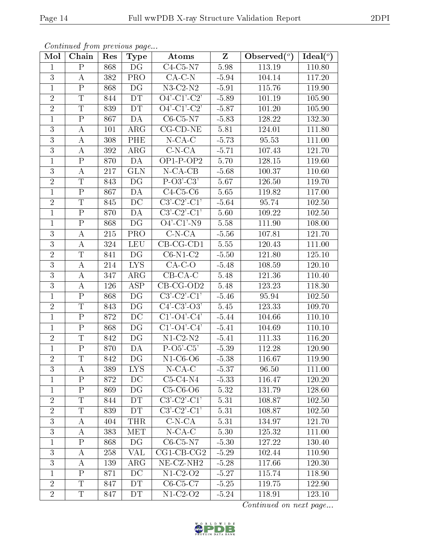| Continued from previous page |                         |     |                         |                                 |         |                                  |             |  |  |  |
|------------------------------|-------------------------|-----|-------------------------|---------------------------------|---------|----------------------------------|-------------|--|--|--|
| Mol                          | Chain                   | Res | Type                    | Atoms                           | Z       | Observed $\overline{(^{\circ})}$ | Ideal $(°)$ |  |  |  |
| $\mathbf 1$                  | $\mathbf{P}$            | 868 | DG                      | $C4-C5-N7$                      | 5.98    | 113.19                           | 110.80      |  |  |  |
| 3                            | A                       | 382 | PRO                     | $CA-C-N$                        | $-5.94$ | 104.14                           | 117.20      |  |  |  |
| $\mathbf{1}$                 | $\mathbf{P}$            | 868 | DG                      | $N3$ -C2- $N2$                  | $-5.91$ | 115.76                           | 119.90      |  |  |  |
| $\overline{2}$               | T                       | 844 | DT                      | $O4'-C1'-C2'$                   | $-5.89$ | 101.19                           | 105.90      |  |  |  |
| $\overline{2}$               | $\overline{T}$          | 839 | DT                      | $O4'$ -C1'-C2'                  | $-5.87$ | 101.20                           | 105.90      |  |  |  |
| $\mathbf{1}$                 | ${\bf P}$               | 867 | DA                      | $C6-C5-N7$                      | $-5.83$ | 128.22                           | 132.30      |  |  |  |
| 3                            | $\bf{A}$                | 101 | $\rm{ARG}$              | $CG$ - $CD$ - $NE$              | 5.81    | 124.01                           | 111.80      |  |  |  |
| $\overline{3}$               | А                       | 308 | PHE                     | $N$ -CA-C                       | $-5.73$ | 95.53                            | 111.00      |  |  |  |
| $\overline{3}$               | Α                       | 392 | $\rm{ARG}$              | $C-N-CA$                        | $-5.71$ | 107.43                           | 121.70      |  |  |  |
| $\mathbf{1}$                 | $\mathbf{P}$            | 870 | DA                      | $OP1-P-OP2$                     | 5.70    | 128.15                           | 119.60      |  |  |  |
| $\overline{3}$               | $\bf{A}$                | 217 | <b>GLN</b>              | $N$ -CA-CB                      | $-5.68$ | 100.37                           | 110.60      |  |  |  |
| $\sqrt{2}$                   | $\mathbf T$             | 843 | DG                      | $P-O3'C3'$                      | 5.67    | 126.50                           | 119.70      |  |  |  |
| $\mathbf{1}$                 | $\rm P$                 | 867 | DA                      | $C4-C5-C6$                      | 5.65    | 119.82                           | 117.00      |  |  |  |
| $\overline{2}$               | $\mathbf T$             | 845 | DC                      | $C3'-C2'-C1'$                   | $-5.64$ | 95.74                            | 102.50      |  |  |  |
| $\overline{1}$               | $\overline{P}$          | 870 | DA                      | $\overline{\text{C3'-C2'-C1'}}$ | 5.60    | 109.22                           | 102.50      |  |  |  |
| $\mathbf{1}$                 | $\mathbf P$             | 868 | DG                      | $O4'$ -C1'-N9                   | 5.58    | 111.90                           | 108.00      |  |  |  |
| $\overline{3}$               | $\bf{A}$                | 215 | $\overline{\text{PRO}}$ | $C-N-CA$                        | $-5.56$ | 107.81                           | 121.70      |  |  |  |
| $\overline{3}$               | A                       | 324 | <b>LEU</b>              | $CB-CG-CD1$                     | 5.55    | 120.43                           | 111.00      |  |  |  |
| $\overline{2}$               | $\overline{T}$          | 841 | DG                      | $C6-N1-C2$                      | $-5.50$ | 121.80                           | 125.10      |  |  |  |
| $\overline{3}$               | А                       | 214 | <b>LYS</b>              | $CA-C-O$                        | $-5.48$ | 108.59                           | 120.10      |  |  |  |
| $\overline{3}$               | А                       | 347 | ARG                     | $CB-CA-C$                       | 5.48    | 121.36                           | 110.40      |  |  |  |
| $\overline{3}$               | А                       | 126 | $\overline{\text{ASP}}$ | $\overline{\text{CB-CG-OD2}}$   | 5.48    | 123.23                           | 118.30      |  |  |  |
| $\mathbf{1}$                 | $\mathbf{P}$            | 868 | DG                      | $C3'-C2'-C1'$                   | $-5.46$ | 95.94                            | 102.50      |  |  |  |
| $\overline{2}$               | $\overline{T}$          | 843 | DG                      | $C4'$ -C3'-O3'                  | 5.45    | 123.33                           | 109.70      |  |  |  |
| $\overline{1}$               | $\rm P$                 | 872 | $\overline{DC}$         | $C1'$ -O4'-C4'                  | $-5.44$ | 104.66                           | 110.10      |  |  |  |
| $\mathbf{1}$                 | ${\bf P}$               | 868 | DG                      | $C1'$ -O4'-C4'                  | $-5.41$ | 104.69                           | 110.10      |  |  |  |
| $\overline{2}$               | T                       | 842 | DG                      | $N1-C2-N2$                      | $-5.41$ | 111.33                           | 116.20      |  |  |  |
| $\overline{1}$               | $\mathbf P$             | 870 | DA                      | $P-O5'-C5'$                     | $-5.39$ | 112.28                           | 120.90      |  |  |  |
| $\overline{2}$               | T                       | 842 | DG                      | $N1-C6-O6$                      | $-5.38$ | 116.67                           | 119.90      |  |  |  |
| 3                            | А                       | 389 | <b>LYS</b>              | $N$ -CA-C                       | $-5.37$ | 96.50                            | 111.00      |  |  |  |
| $\mathbf{1}$                 | $\mathbf P$             | 872 | DC                      | $C5-C4-N4$                      | $-5.33$ | 116.47                           | 120.20      |  |  |  |
| $\mathbf{1}$                 | $\mathbf{P}$            | 869 | DG                      | $C5-C6-O6$                      | 5.32    | 131.79                           | 128.60      |  |  |  |
| $\overline{2}$               | $\mathbf T$             | 844 | <b>DT</b>               | $C3'-C2'-C1'$                   | 5.31    | 108.87                           | 102.50      |  |  |  |
| $\overline{2}$               | $\overline{\mathrm{T}}$ | 839 | DT                      | $C3'-C2'-C1'$                   | 5.31    | 108.87                           | 102.50      |  |  |  |
| 3                            | A                       | 404 | <b>THR</b>              | $C-N-CA$                        | 5.31    | 134.97                           | 121.70      |  |  |  |
| $\overline{3}$               | А                       | 383 | MET                     | $N$ -CA-C                       | 5.30    | 125.32                           | 111.00      |  |  |  |
| $\mathbf{1}$                 | $\mathbf P$             | 868 | DG                      | $C6-C5-N7$                      | $-5.30$ | 127.22                           | 130.40      |  |  |  |
| 3                            | A                       | 258 | VAL                     | $CG1-CB-CG2$                    | $-5.29$ | 102.44                           | 110.90      |  |  |  |

Continued on next page...



 $\overline{C6-C5-C7}$  -5.25 119.75 122.90

3 A 139 ARG NE-CZ-NH2 -5.28 117.66 120.30

1 P 871 DC N1-C2-O2 -5.27 115.74 118.90<br>2 T 847 DT C6-C5-C7 -5.25 119.75 122.90

2 T 847 DT N1-C2-O2 -5.24 118.91 123.10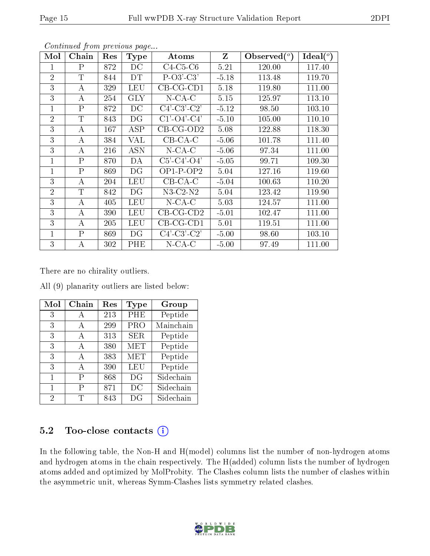| Mol            | Chain        | Res | <b>Type</b> | Atoms                 | $\mathbf{Z}$ | $\lambda$ Observed $(^\circ)$ | Ideal $(°)$ |
|----------------|--------------|-----|-------------|-----------------------|--------------|-------------------------------|-------------|
| 1              | $\mathbf{P}$ | 872 | DC          | $C4-C5-C6$            | 5.21         | 120.00                        | 117.40      |
| $\overline{2}$ | T            | 844 | DT          | $P-O3'-C3'$           | $-5.18$      | 113.48                        | 119.70      |
| 3              | А            | 329 | LEU         | $CB-CG-CD1$           | 5.18         | 119.80                        | 111.00      |
| 3              | А            | 254 | <b>GLY</b>  | $N$ -CA-C             | 5.15         | 125.97                        | 113.10      |
| 1              | $\rm P$      | 872 | DC          | $C4'-C3'-C2'$         | $-5.12$      | 98.50                         | 103.10      |
| $\overline{2}$ | $\mathbf T$  | 843 | DG          | $C1'-O4'-C4'$         | $-5.10$      | 105.00                        | 110.10      |
| 3              | A            | 167 | ASP         | $CB$ -CG-OD2          | 5.08         | 122.88                        | 118.30      |
| 3              | $\bf{A}$     | 384 | VAL         | $CB-CA-C$             | $-5.06$      | 101.78                        | 111.40      |
| 3              | А            | 216 | <b>ASN</b>  | $N$ -CA-C             | $-5.06$      | 97.34                         | 111.00      |
| $\mathbf{1}$   | $\mathsf{P}$ | 870 | DA          | $C5'$ - $C4'$ - $O4'$ | $-5.05$      | 99.71                         | 109.30      |
| $\mathbf{1}$   | $\mathsf{P}$ | 869 | DG          | $OP1-P-OP2$           | 5.04         | 127.16                        | 119.60      |
| 3              | А            | 204 | LEU         | $CB-CA-C$             | $-5.04$      | 100.63                        | 110.20      |
| $\overline{2}$ | $\mathbf T$  | 842 | DG          | $N3$ -C2- $N2$        | 5.04         | 123.42                        | 119.90      |
| 3              | А            | 405 | LEU         | $N$ -CA-C             | 5.03         | 124.57                        | 111.00      |
| 3              | А            | 390 | LEU         | $CB-CG-CD2$           | $-5.01$      | 102.47                        | 111.00      |
| 3              | А            | 205 | LEU         | CB-CG-CD1             | 5.01         | 119.51                        | 111.00      |
| $\mathbf{1}$   | $\mathbf{P}$ | 869 | DG          | $C4'-C3'-C2'$         | $-5.00$      | 98.60                         | 103.10      |
| 3              | А            | 302 | PHE         | $N$ -CA-C             | $-5.00$      | 97.49                         | 111.00      |

There are no chirality outliers.

All (9) planarity outliers are listed below:

| Mol | Chain | $\operatorname{Res}% \left( \mathcal{N}\right) \equiv\operatorname{Res}(\mathcal{N}_{0})\cap\mathcal{N}_{1}$ | <b>Type</b> | Group     |
|-----|-------|--------------------------------------------------------------------------------------------------------------|-------------|-----------|
| 3   | A     | 213                                                                                                          | PHE         | Peptide   |
| 3   | А     | 299                                                                                                          | PRO         | Mainchain |
| 3   | A     | 313                                                                                                          | <b>SER</b>  | Peptide   |
| 3   | A     | 380                                                                                                          | <b>MET</b>  | Peptide   |
| 3   | А     | 383                                                                                                          | MET         | Peptide   |
| 3   | А     | 390                                                                                                          | <b>LEU</b>  | Peptide   |
| 1   | Р     | 868                                                                                                          | DG          | Sidechain |
| 1   | Р     | 871                                                                                                          | DC          | Sidechain |
| 2   | T     | 843                                                                                                          | DG          | Sidechain |

#### 5.2 Too-close contacts  $(i)$

In the following table, the Non-H and H(model) columns list the number of non-hydrogen atoms and hydrogen atoms in the chain respectively. The H(added) column lists the number of hydrogen atoms added and optimized by MolProbity. The Clashes column lists the number of clashes within the asymmetric unit, whereas Symm-Clashes lists symmetry related clashes.

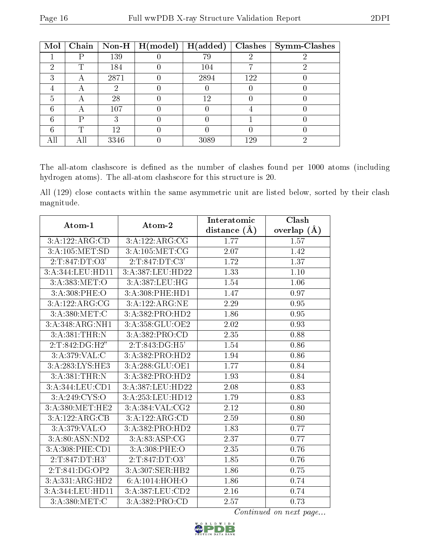| Mol |   |      | Chain   Non-H   $H (model)$ | H(added) | Clashes | Symm-Clashes |
|-----|---|------|-----------------------------|----------|---------|--------------|
|     |   | 139  |                             | 79       |         |              |
| ച   | T | 184  |                             | 104      |         |              |
| ົ   |   | 2871 |                             | 2894     | 122     |              |
|     |   |      |                             |          |         |              |
| 5   |   | 28   |                             | 12       |         |              |
|     |   | 107  |                             |          |         |              |
| R   | D | ર    |                             |          |         |              |
|     | ጥ | 12   |                             |          |         |              |
|     |   | 3346 |                             | 3089     | 129     |              |

The all-atom clashscore is defined as the number of clashes found per 1000 atoms (including hydrogen atoms). The all-atom clashscore for this structure is 20.

All (129) close contacts within the same asymmetric unit are listed below, sorted by their clash magnitude.

| Atom-1           | Atom-2              | Interatomic       | Clash             |
|------------------|---------------------|-------------------|-------------------|
|                  |                     | distance $(A)$    | overlap $(A)$     |
| 3:A:122:ARG:CD   | 3:A:122:ARG:CG      | 1.77              | 1.57              |
| 3:A:105:MET:SD   | 3:A:105:MET:CG      | 2.07              | 1.42              |
| 2:T:847:DT:O3'   | 2:T:847:DT:C3'      | 1.72              | 1.37              |
| 3:A:344:LEU:HD11 | 3:A:387:LEU:HD22    | 1.33              | 1.10              |
| 3:A:383:MET:O    | 3:A:387:LEU:HG      | 1.54              | 1.06              |
| 3: A:308: PHE:O  | 3: A:308: PHE: HD1  | 1.47              | 0.97              |
| 3:A:122:ARG:CG   | 3:A:122:ARG:NE      | 2.29              | 0.95              |
| 3:A:380:MET:C    | 3:A:382:PRO:HD2     | 1.86              | 0.95              |
| 3:A:348:ARG:NH1  | 3:A:358:GLU:OE2     | $\overline{2.02}$ | $\overline{0.93}$ |
| 3:A:381:THR:N    | 3:A:382:PRO:CD      | 2.35              | 0.88              |
| 2:T:842:DG:H2"   | 2:T:843:DG:H5'      | 1.54              | 0.86              |
| 3:A:379:VAL:CC   | 3:A:382:PRO:HD2     | 1.94              | $0.86\,$          |
| 3:A:283:LYS:HE3  | 3:A:288:GLU:OE1     | 1.77              | 0.84              |
| 3:A:381:THR:N    | 3:A:382:PRO:HD2     | 1.93              | 0.84              |
| 3:A:344:LEU:CD1  | $3:$ A:387:LEU:HD22 | 2.08              | 0.83              |
| 3: A:249: CYS:O  | 3:A:253:LEU:HD12    | 1.79              | 0.83              |
| 3:A:380:MET:HE2  | 3:A:384:VAL:CG2     | 2.12              | $0.80\,$          |
| 3:A:122:ARG:CB   | 3:A:122:ARG:CD      | 2.59              | 0.80              |
| 3: A:379: VAL:O  | 3:A:382:PRO:HD2     | 1.83              | 0.77              |
| 3:A:80:ASN:ND2   | 3: A:83: ASP:CG     | 2.37              | 0.77              |
| 3:A:308:PHE:CD1  | 3:A:308:PHE:O       | $\overline{2.35}$ | $0.76\,$          |
| 2:T:847:DT:H3'   | 2:T:847:DT:O3'      | 1.85              | 0.76              |
| 2:T:841:DG:OP2   | 3:A:307:SER:HB2     | 1.86              | 0.75              |
| 3:A:331:ARG:HD2  | 6:A:1014:HOH:O      | 1.86              | 0.74              |
| 3:A:344:LEU:HD11 | 3:A:387:LEU:CD2     | 2.16              | 0.74              |
| 3:A:380:MET:C    | 3:A:382:PRO:CD      | 2.57              | 0.73              |

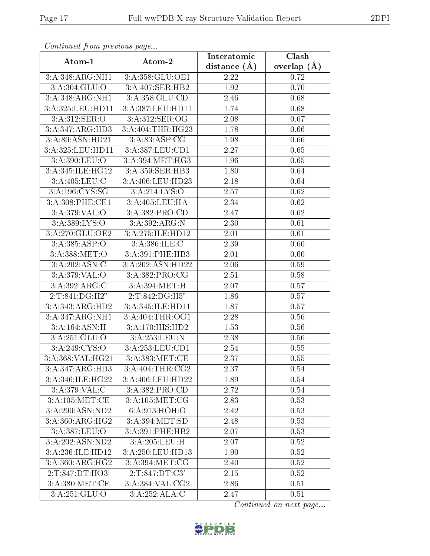| Continuati prom pretious page |                  | Interatomic      | Clash         |
|-------------------------------|------------------|------------------|---------------|
| Atom-1                        | Atom-2           | distance $(\AA)$ | overlap $(A)$ |
| 3:A:348:ARG:NH1               | 3:A:358:GLU:OE1  | 2.22             | 0.72          |
| 3:A:304:GLU:O                 | 3:A:407:SER:HB2  | 1.92             | 0.70          |
| 3:A:348:ARG:NH1               | 3:A:358:GLU:CD   | 2.46             | 0.68          |
| 3:A:325:LEU:HD11              | 3:A:387:LEU:HD11 | 1.74             | 0.68          |
| 3:A:312:SER:O                 | 3:A:312:SER:OG   | 2.08             | 0.67          |
| 3:A:347:ARG:HD3               | 3:A:404:THR:HG23 | 1.78             | 0.66          |
| 3:A:80:ASN:HD21               | 3: A:83: ASP:CG  | 1.98             | 0.66          |
| 3:A:325:LEU:HD11              | 3:A:387:LEU:CD1  | 2.27             | 0.65          |
| 3:A:390:LEU:O                 | 3:A:394:MET:HG3  | 1.96             | 0.65          |
| 3:A:345:ILE:HG12              | 3:A:359:SER:HB3  | 1.80             | 0.64          |
| 3:A:405:LEU:C                 | 3:A:406:LEU:HD23 | 2.18             | 0.64          |
| 3:A:196:CYS:SG                | 3:A:214:LYS:O    | 2.57             | 0.62          |
| 3:A:308:PHE:CE1               | 3:A:405:LEU:HA   | 2.34             | 0.62          |
| 3:A:379:VAL:O                 | 3:A:382:PRO:CD   | 2.47             | 0.62          |
| 3:A:389:LYS:O                 | 3:A:392:ARG:N    | 2.30             | 0.61          |
| 3:A:270:GLU:OE2               | 3:A:275:ILE:HD12 | 2.01             | 0.61          |
| 3:A:385:ASP:O                 | 3:A:386:ILE:C    | 2.39             | 0.60          |
| 3:A:388:MET:O                 | 3:A:391:PHE:HB3  | 2.01             | 0.60          |
| 3:A:202:ASN:C                 | 3:A:202:ASN:HD22 | 2.06             | 0.59          |
| 3: A:379: VAL:O               | 3:A:382:PRO:CG   | 2.51             | 0.58          |
| 3:A:392:ARG:C                 | 3:A:394:MET:HT   | 2.07             | 0.57          |
| 2:T:841:DG:H2"                | 2:T:842:DG:H5"   | 1.86             | 0.57          |
| 3:A:343:ARG:HD2               | 3:A:345:ILE:HD11 | 1.87             | 0.57          |
| 3:A:347:ARG:NH1               | 3: A:404:THR:OG1 | 2.28             | 0.56          |
| 3:A:164:ASN:H                 | 3:A:170:HIS:HD2  | 1.53             | 0.56          |
| 3:A:251:GLU:O                 | 3:A:253:LEU:N    | 2.38             | 0.56          |
| 3:A:249:CYS:O                 | 3:A:253:LEU:CD1  | 2.54             | 0.55          |
| 3:A:368:VAL:HG21              | 3:A:383:MET:CE   | 2.37             | 0.55          |
| 3:A:347:ARG:HD3               | 3:A:404:THR:CG2  | 2.37             | 0.54          |
| 3:A:346:ILE:HG22              | 3:A:406:LEU:HD22 | 1.89             | 0.54          |
| $3:A:379:VA\overline{L:C}$    | 3:A:382:PRO:CD   | 2.72             | 0.54          |
| 3:A:105:MET:CE                | 3:A:105:MET:CG   | 2.83             | 0.53          |
| 3:A:290:ASN:ND2               | 6: A:913:HOH:O   | 2.42             | 0.53          |
| 3:A:360:ARG:HG2               | 3:A:394:MET:SD   | 2.48             | 0.53          |
| 3:A:387:LEU:O                 | 3:A:391:PHE:HB2  | 2.07             | 0.53          |
| 3:A:202:ASN:ND2               |                  | 2.07             | 0.52          |
| 3:A:236:ILE:HD12              | 3:A:250:LEU:HD13 | 1.90             | 0.52          |
| 3:A:360:ARG:HG2               | 3:A:394:MET:CG   | 2.40             | 0.52          |
| 2:T:847:DT:HO3'               | 2:T:847:DT:C3'   | 2.15             | 0.52          |
| 3: A:380:MET:CE               | 3:A:384:VAL:CG2  | 2.86             | 0.51          |
| 3:A:251:GLU:O                 | 3:A:252:ALA:C    | 2.47             | 0.51          |

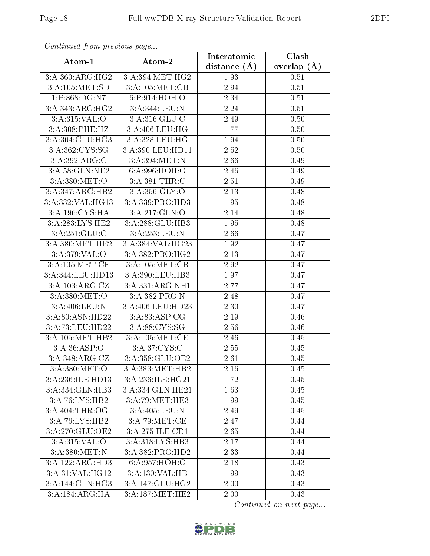| commune from previous page  |                                               |                | Clash             |
|-----------------------------|-----------------------------------------------|----------------|-------------------|
| Atom-1                      | Atom-2                                        | distance $(A)$ | overlap $(\AA)$   |
| 3:A:360:ARG:HG2             | 3:A:394:MET:HG2                               | 1.93           | 0.51              |
| 3:A:105:MET:SD              | 3:A:105:MET:CB                                | 2.94           | $\overline{0.51}$ |
| 1:P:868:DG:N7               | 6:P:914:HOH:O                                 | 2.34           | 0.51              |
| 3:A:343:ARG:HG2             | 3:A:344:LEU:N                                 | 2.24           | 0.51              |
| 3:A:315:VAL:O               | 3:A:316:GLU:C                                 | 2.49           | 0.50              |
| 3:A:308:PHE:HZ              | 3:A:406:LEU:HG                                | 1.77           | 0.50              |
| 3:A:304:GLU:HG3             | $3:A:328:\overline{\textrm{LEU}:\textrm{HG}}$ | 1.94           | 0.50              |
| 3:A:362:CYS:SG              | 3:A:390:LEU:HD11                              | 2.52           | 0.50              |
| 3:A:392:ARG:C               | 3:A:394:MET:N                                 | 2.66           | 0.49              |
| $3:A:58:\overline{GLN:NE2}$ | 6:A:996:HOH:O                                 | 2.46           | 0.49              |
| 3:A:380:MET:O               | 3:A:381:THR:C                                 | 2.51           | 0.49              |
| 3:A:347:ARG:HB2             | 3: A:356: GLY:O                               | 2.13           | 0.48              |
| 3:A:332:VAL:HG13            | 3:A:339:PRO:HD3                               | 1.95           | 0.48              |
| 3:A:196:CYS:HA              | 3:A:217:GLN:O                                 | 2.14           | 0.48              |
| 3:A:283:LYS:HE2             | 3:A:288:GLU:HB3                               | 1.95           | 0.48              |
| 3:A:251:GLU:C               | 3:A:253:LEU:N                                 | 2.66           | 0.47              |
| 3:A:380:MET:HE2             | 3:A:384:VAL:HG23                              | 1.92           | 0.47              |
| 3: A:379: VAL:O             | 3: A: 382: PRO: HG2                           | 2.13           | 0.47              |
| 3:A:105:MET:CE              | 3:A:105:MET:CB                                | 2.92           | 0.47              |
| 3:A:344:LEU:HD13            | 3:A:390:LEU:HB3                               | 1.97           | 0.47              |
| 3:A:103:ARG:CZ              | 3:A:331:ARG:NH1                               | 2.77           | 0.47              |
| 3:A:380:MET:O               | 3:A:382:PRO:N                                 | 2.48           | 0.47              |
| 3:A:406:LEU:N               | 3:A:406:LEU:HD23                              | 2.30           | 0.47              |
| 3:A:80:ASN:HD22             | 3: A:83: ASP:CG                               | 2.19           | 0.46              |
| 3:A:73:LEU:HD22             | 3:A:88:CYS:SG                                 | 2.56           | 0.46              |
| 3:A:105:MET:HB2             | 3:A:105:MET:CE                                | 2.46           | 0.45              |
| 3: A:36: ASP:O              | 3:A:37:CYS:C                                  | 2.55           | 0.45              |
| 3:A:348:ARG:CZ              | 3:A:358:GLU:OE2                               | 2.61           | 0.45              |
| 3:A:380:MET:O               | 3:A:383:MET:HB2                               | 2.16           | 0.45              |
| 3:A:236:ILE:HD13            | 3:A:236:ILE:HG21                              | 1.72           | 0.45              |
| 3:A:334:GLN:HB3             | 3:A:334:GLN:HE21                              | 1.63           | 0.45              |
| 3:A:76:LYS:HB2              | 3:A:79:MET:HE3                                | 1.99           | 0.45              |
| 3:A:404:THR:OG1             | 3:A:405:LEU:N                                 | 2.49           | 0.45              |
| 3:A:76:LYS:HB2              | 3:A:79:MET:CE                                 | 2.47           | 0.44              |
| 3:A:270:GLU:OE2             | 3:A:275:ILE:CD1                               | 2.65           | 0.44              |
| 3:A:315:VAL:O               | 3:A:318:LYS:HB3                               | 2.17           | 0.44              |
| 3:A:380:MET:N               | 3:A:382:PRO:HD2                               | 2.33           | 0.44              |
| 3:A:122:ARG:HD3             | 6:A:957:HOH:O                                 | 2.18           | 0.43              |
| 3:A:31:VAL:HG12             | 3:A:130:VAL:HB                                | 1.99           | 0.43              |
| 3:A:144:GLN:HG3             | 3:A:147:GLU:HG2                               | 2.00           | 0.43              |
| 3:A:184:ARG:HA              | 3:A:187:MET:HE2                               | 2.00           | 0.43              |

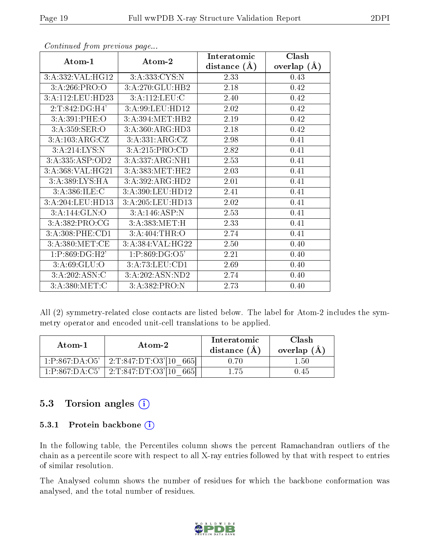|                  |                              | Interatomic    | Clash         |
|------------------|------------------------------|----------------|---------------|
| Atom-1           | Atom-2                       | distance $(A)$ | overlap $(A)$ |
| 3:A:332:VAL:HG12 | 3:A:333:CYS:N                | 2.33           | 0.43          |
| 3:A:266:PRO:O    | $3:A:270:\overline{GLU:HB2}$ | 2.18           | 0.42          |
| 3:A:112:LEU:HD23 | 3:A:112:LEU:C                | 2.40           | 0.42          |
| 2:T:842:DG:H4'   | 3:A:99:LEU:HD12              | 2.02           | 0.42          |
| 3:A:391:PHE:O    | 3:A:394:MET:HB2              | 2.19           | 0.42          |
| 3:A:359:SER:O    | 3: A:360:ARG:HD3             | 2.18           | 0.42          |
| 3:A:103:ARG:CZ   | 3:A:331:ARG:CZ               | 2.98           | 0.41          |
| 3:A:214:LYS:N    | 3:A:215:PRO:CD               | 2.82           | 0.41          |
| 3:A:335:ASP:OD2  | 3:A:337:ARG:NH1              | 2.53           | 0.41          |
| 3:A:368:VAL:HG21 | 3:A:383:MET:HE2              | 2.03           | 0.41          |
| 3:A:389:LYS:HA   | 3:A:392:ARG:HD2              | 2.01           | 0.41          |
| 3:A:386:ILE:C    | 3:A:390:LEU:HD12             | 2.41           | 0.41          |
| 3:A:204:LEU:HD13 | 3:A:205:LEU:HD13             | 2.02           | 0.41          |
| 3:A:144:GLN:O    | 3:A:146:ASP:N                | 2.53           | 0.41          |
| 3:A:382:PRO:CG   | 3:A:383:MET:H                | 2.33           | 0.41          |
| 3:A:308:PHE:CD1  | 3:A:404:THR:O                | 2.74           | 0.41          |
| 3: A:380:MET:CE  | 3:A:384:VAL:HG22             | 2.50           | 0.40          |
| 1:P:869:DG:H2'   | 1:P:869:DG:O5'               | 2.21           | 0.40          |
| 3: A:69: GLU:O   | 3:A:73:LEU:CD1               | 2.69           | 0.40          |
| 3:A:202:ASN:C    | 3:A:202:ASN:ND2              | 2.74           | 0.40          |
| 3:A:380:MET:C    | 3:A:382:PRO:N                | 2.73           | 0.40          |

All (2) symmetry-related close contacts are listed below. The label for Atom-2 includes the symmetry operator and encoded unit-cell translations to be applied.

| Atom-1                                   | Atom-2                              | Interatomic<br>distance $(A)$ | <b>Clash</b><br>overlap $(A)$ |
|------------------------------------------|-------------------------------------|-------------------------------|-------------------------------|
| 1:P:867:DA:O5'                           | $^+$ 2:T:847:DT:O3'[10 $^-$<br>6651 | 0 70                          | 1.50.                         |
| $1 \cdot P \cdot 867 \cdot DA \cdot C5'$ | 2:T:847:DT:O3'[10]<br>6651          |                               |                               |

#### 5.3 Torsion angles (i)

#### 5.3.1 Protein backbone  $(i)$

In the following table, the Percentiles column shows the percent Ramachandran outliers of the chain as a percentile score with respect to all X-ray entries followed by that with respect to entries of similar resolution.

The Analysed column shows the number of residues for which the backbone conformation was analysed, and the total number of residues.

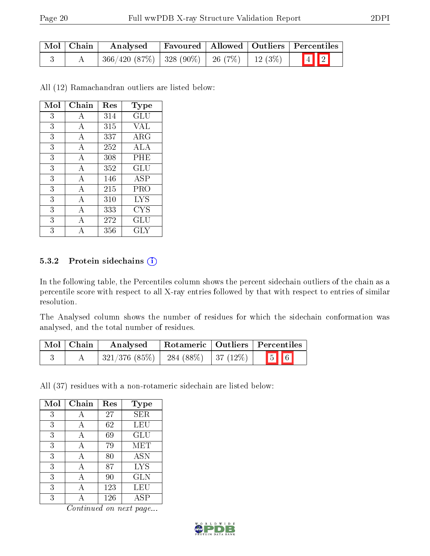| Mol   Chain | Analysed                                            |  | Favoured   Allowed   Outliers   Percentiles |
|-------------|-----------------------------------------------------|--|---------------------------------------------|
|             | $366/420$ (87\%)   328 (90\%)   26 (7\%)   12 (3\%) |  | $\boxed{4}$ $\boxed{2}$                     |

All (12) Ramachandran outliers are listed below:

| Mol | Chain | Res     | Type                 |
|-----|-------|---------|----------------------|
| 3   | А     | 314     | $\operatorname{GLU}$ |
| 3   | А     | 315     | VAL                  |
| 3   | А     | 337     | <b>ARG</b>           |
| 3   | А     | 252     | ALA                  |
| 3   | А     | 308     | PHE                  |
| 3   | А     | 352     | GLU                  |
| 3   | A     | 146     | ASP                  |
| 3   | А     | 215     | PRO                  |
| 3   | A     | 310     | <b>LYS</b>           |
| 3   | А     | 333     | CYS                  |
| 3   | А     | 272     | $\operatorname{GLU}$ |
| 3   |       | $356\,$ | GLY                  |

#### 5.3.2 Protein sidechains (i)

In the following table, the Percentiles column shows the percent sidechain outliers of the chain as a percentile score with respect to all X-ray entries followed by that with respect to entries of similar resolution.

The Analysed column shows the number of residues for which the sidechain conformation was analysed, and the total number of residues.

| Mol   Chain | Analysed                                                     |  | Rotameric   Outliers   Percentiles |
|-------------|--------------------------------------------------------------|--|------------------------------------|
|             | $\mid$ 321/376 (85%) $\mid$ 284 (88%) $\mid$ 37 (12%) $\mid$ |  | $\boxed{5}$ $\boxed{6}$            |

All (37) residues with a non-rotameric sidechain are listed below:

| Mol | Chain | Res    | <b>Type</b> |
|-----|-------|--------|-------------|
| 3   | А     | 27     | SER         |
| 3   | А     | 62     | LEU         |
| 3   | А     | 69     | GLU         |
| 3   | А     | 79     | MET         |
| 3   | А     | $80\,$ | <b>ASN</b>  |
| 3   | A     | 87     | <b>LYS</b>  |
| 3   | А     | 90     | <b>GLN</b>  |
| 3   |       | 123    | LEU         |
| 3   |       | 126    | ASP         |

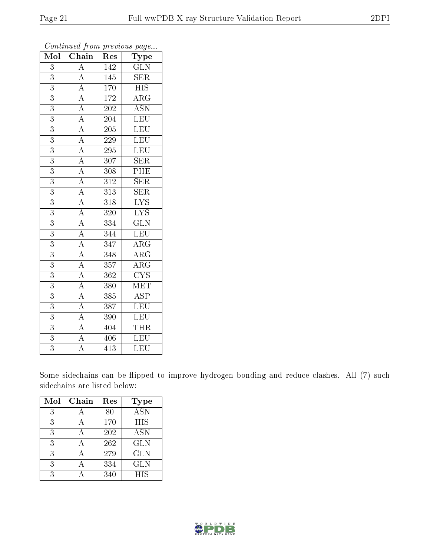| $\overline{\text{Mol}}$ | $\boldsymbol{\theta}$<br>Chain                                                                                                                                                                                                                                                                                                                                                                                 | ×.<br>Res        | $\mathbf{r}$<br>$\overline{v}$<br>$\mathrm{Type}$ |
|-------------------------|----------------------------------------------------------------------------------------------------------------------------------------------------------------------------------------------------------------------------------------------------------------------------------------------------------------------------------------------------------------------------------------------------------------|------------------|---------------------------------------------------|
| 3                       | $\overline{A}$                                                                                                                                                                                                                                                                                                                                                                                                 | 142              | $\overline{\text{GLN}}$                           |
| $\overline{3}$          |                                                                                                                                                                                                                                                                                                                                                                                                                | 145              | <b>SER</b>                                        |
| $\overline{3}$          |                                                                                                                                                                                                                                                                                                                                                                                                                | $\overline{170}$ | $\overline{HIS}$                                  |
| $\overline{3}$          | $\frac{\overline{A}}{\overline{A}}$ $\frac{\overline{A}}{\overline{A}}$                                                                                                                                                                                                                                                                                                                                        | 172              | $\overline{\rm{ARG}}$                             |
| $\overline{3}$          |                                                                                                                                                                                                                                                                                                                                                                                                                | $\overline{202}$ | $\overline{\mathrm{ASN}}$                         |
| $\overline{3}$          |                                                                                                                                                                                                                                                                                                                                                                                                                | 204              | LEU                                               |
| $\overline{3}$          |                                                                                                                                                                                                                                                                                                                                                                                                                | $\overline{205}$ | $\overline{\text{LEU}}$                           |
| $\overline{3}$          |                                                                                                                                                                                                                                                                                                                                                                                                                | 229              | <b>LEU</b>                                        |
| $\overline{3}$          |                                                                                                                                                                                                                                                                                                                                                                                                                | 295              | LEU                                               |
| $\overline{3}$          |                                                                                                                                                                                                                                                                                                                                                                                                                | $\overline{307}$ | SER                                               |
| $\overline{3}$          |                                                                                                                                                                                                                                                                                                                                                                                                                | 308              | $\overline{\rm PHE}$                              |
| $\overline{3}$          |                                                                                                                                                                                                                                                                                                                                                                                                                | 312              | $\overline{\text{SER}}$                           |
| $\overline{3}$          |                                                                                                                                                                                                                                                                                                                                                                                                                | 313              | $\overline{\text{SER}}$                           |
| $\overline{3}$          |                                                                                                                                                                                                                                                                                                                                                                                                                | $\overline{318}$ | $\overline{\text{LYS}}$                           |
| $\overline{3}$          |                                                                                                                                                                                                                                                                                                                                                                                                                | $\overline{320}$ | $\overline{\text{LYS}}$                           |
| $\overline{3}$          |                                                                                                                                                                                                                                                                                                                                                                                                                | 334              | $\overline{\text{GLN}}$                           |
| $\boldsymbol{3}$        |                                                                                                                                                                                                                                                                                                                                                                                                                | $\overline{344}$ | LEU                                               |
| $\overline{3}$          |                                                                                                                                                                                                                                                                                                                                                                                                                | $\overline{347}$ | $\overline{\rm{ARG}}$                             |
| $\overline{3}$          |                                                                                                                                                                                                                                                                                                                                                                                                                | $\overline{348}$ | $\overline{\rm ARG}$                              |
| $\overline{3}$          |                                                                                                                                                                                                                                                                                                                                                                                                                | 357              | $\overline{\rm{ARG}}$                             |
| $\overline{3}$          |                                                                                                                                                                                                                                                                                                                                                                                                                | 362              | $\overline{\text{CYS}}$                           |
| $\overline{3}$          |                                                                                                                                                                                                                                                                                                                                                                                                                | 380              | MET                                               |
| $\overline{3}$          |                                                                                                                                                                                                                                                                                                                                                                                                                | 385              | $\overline{\text{ASP}}$                           |
| $\overline{3}$          |                                                                                                                                                                                                                                                                                                                                                                                                                | 387              | $\overline{\text{LEU}}$                           |
| $\overline{3}$          |                                                                                                                                                                                                                                                                                                                                                                                                                | 390              | LEU                                               |
| 3                       | $\frac{\overline{A}}{\overline{A}}\frac{\overline{A}}{\overline{A}}\frac{\overline{A}}{\overline{A}}\frac{\overline{A}}{\overline{A}}\frac{\overline{A}}{\overline{A}}\frac{\overline{A}}{\overline{A}}\frac{\overline{A}}{\overline{A}}\frac{\overline{A}}{\overline{A}}\frac{\overline{A}}{\overline{A}}\frac{\overline{A}}{\overline{A}}\frac{\overline{A}}{\overline{A}}\frac{\overline{A}}{\overline{A}}$ | 404              | <b>THR</b>                                        |
| $\overline{3}$          |                                                                                                                                                                                                                                                                                                                                                                                                                | 406              | <b>LEU</b>                                        |
| $\overline{3}$          | $\overline{A}$                                                                                                                                                                                                                                                                                                                                                                                                 | 413              | $\overline{\text{LEU}}$                           |

Some sidechains can be flipped to improve hydrogen bonding and reduce clashes. All (7) such sidechains are listed below:

| Mol | Chain | Res | Type       |
|-----|-------|-----|------------|
| 3   |       | 80  | <b>ASN</b> |
| 3   |       | 170 | <b>HIS</b> |
| 3   |       | 202 | <b>ASN</b> |
| 3   |       | 262 | <b>GLN</b> |
| 3   |       | 279 | <b>GLN</b> |
| 3   |       | 334 | <b>GLN</b> |
| २   |       | 340 | <b>HIS</b> |

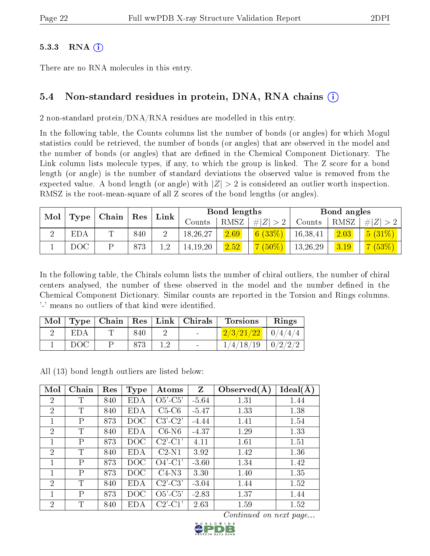#### $5.3.3$  RNA  $(i)$

There are no RNA molecules in this entry.

### 5.4 Non-standard residues in protein, DNA, RNA chains (i)

2 non-standard protein/DNA/RNA residues are modelled in this entry.

In the following table, the Counts columns list the number of bonds (or angles) for which Mogul statistics could be retrieved, the number of bonds (or angles) that are observed in the model and the number of bonds (or angles) that are defined in the Chemical Component Dictionary. The Link column lists molecule types, if any, to which the group is linked. The Z score for a bond length (or angle) is the number of standard deviations the observed value is removed from the expected value. A bond length (or angle) with  $|Z| > 2$  is considered an outlier worth inspection. RMSZ is the root-mean-square of all Z scores of the bond lengths (or angles).

| Mol |            | $\top$ Chain $\top$ | $\vert$ Res | Link |            | Bond lengths |                  |          | Bond angles |                 |
|-----|------------|---------------------|-------------|------|------------|--------------|------------------|----------|-------------|-----------------|
|     | Type       |                     |             |      | Counts     | RMSZ         | $\# Z  > 2^{-1}$ | Counts   | RMSZ        | # $ Z  > 2$     |
|     | <b>EDA</b> | $\Box$              | 840         |      | 18,26,27   | 2.69         | 6(33%)           | 16,38,41 | 2.03        | $5(31\%)$       |
|     | DOC        |                     | 873         | 19   | 14, 19, 20 | 2.52         | $7(50\%)$        | 13,26,29 | 3.19        | $\sqrt{(53\%)}$ |

In the following table, the Chirals column lists the number of chiral outliers, the number of chiral centers analysed, the number of these observed in the model and the number defined in the Chemical Component Dictionary. Similar counts are reported in the Torsion and Rings columns. '-' means no outliers of that kind were identified.

| ` Mol |     |     | $\mid$ Type   Chain   Res   Link   Chirals | <b>Torsions</b>                              | Rings |
|-------|-----|-----|--------------------------------------------|----------------------------------------------|-------|
|       | EDA | 840 | $\sim$                                     | $\left[ \frac{2/3/21/22}{2} \right]$ 0/4/4/4 |       |
|       | DOC | 873 | $\sim$                                     | $1/4/18/19$   $0/2/2/2$                      |       |

All (13) bond length outliers are listed below:

| Mol            | Chain | Res | <b>Type</b> | Atoms                                 | Z       | Observed $(A)$ | Ideal(A) |
|----------------|-------|-----|-------------|---------------------------------------|---------|----------------|----------|
| $\overline{2}$ | Т     | 840 | <b>EDA</b>  | $O5'$ -C5'                            | $-5.64$ | 1.31           | 1.44     |
| $\overline{2}$ | T     | 840 | <b>EDA</b>  | $C5-C6$                               | $-5.47$ | 1.33           | 1.38     |
|                | P     | 873 | DOC         | $C3'-C2'$                             | $-4.44$ | 1.41           | 1.54     |
| $\overline{2}$ | T     | 840 | <b>EDA</b>  | $C6-N6$                               | $-4.37$ | 1.29           | 1.33     |
| 1              | Ρ     | 873 | DOC         | $C2'$ - $C1'$                         | 4.11    | 1.61           | 1.51     |
| $\overline{2}$ | T     | 840 | <b>EDA</b>  | $C2-N1$                               | 3.92    | 1.42           | 1.36     |
| 1              | P     | 873 | DOC         | $O4'$ -C1'                            | $-3.60$ | 1.34           | 1.42     |
| 1              | P     | 873 | DOC         | $C4-N3$                               | 3.30    | 1.40           | 1.35     |
| $\overline{2}$ | T     | 840 | EDA         | $C2'-C3'$                             | $-3.04$ | 1.44           | 1.52     |
| 1              | Ρ     | 873 | DOC         | $O5'-C5'$                             | $-2.83$ | 1.37           | 1.44     |
| $\overline{2}$ | T     | 840 | <b>EDA</b>  | $C2$ <sup>'</sup> - $C1$ <sup>'</sup> | 2.63    | 1.59           | 1.52     |

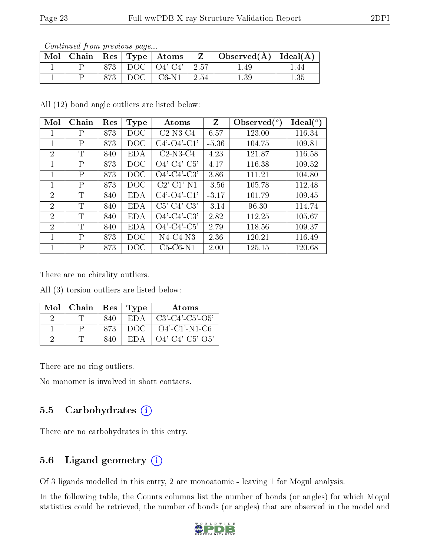| contentation provided page |  |                                                                                 |                                                  |      |
|----------------------------|--|---------------------------------------------------------------------------------|--------------------------------------------------|------|
|                            |  | $\blacksquare$ Mol $\vert$ Chain $\vert$ Res $\vert$ Type $\vert$ Atoms $\vert$ | $\vert$ Observed( $\AA$ ) $\vert$ Ideal( $\AA$ ) |      |
|                            |  | $873$   DOC   O4'-C4'   2.57                                                    |                                                  | l 44 |
|                            |  | $\vert$ DOC $\vert$ C6-N1 $\vert$ 2.54                                          | 1.39                                             | 1.35 |

All (12) bond angle outliers are listed below:

| Mol            | Chain        | Res | Type       | Atoms                                        | Z       | Observed $\binom{o}{c}$ | $\text{Ideal}({}^o)$ |
|----------------|--------------|-----|------------|----------------------------------------------|---------|-------------------------|----------------------|
| 1              | P            | 873 | DOC        | $C2-N3-C4$                                   | 6.57    | 123.00                  | 116.34               |
| 1              | $\mathsf{P}$ | 873 | DOC        | $C4'-C4'-C1'$                                | $-5.36$ | 104.75                  | 109.81               |
| $\overline{2}$ | T            | 840 | <b>EDA</b> | $C2-N3-C4$                                   | 4.23    | 121.87                  | 116.58               |
| 1              | P            | 873 | DOC        | $O4'$ -C4'-C5'                               | 4.17    | 116.38                  | 109.52               |
| 1              | $\mathsf{P}$ | 873 | DOC        | $O4'$ -C4'-C3'                               | 3.86    | 111.21                  | 104.80               |
| 1              | P            | 873 | DOC        | $C2$ <sup>'</sup> - $C1$ <sup>'</sup> - $N1$ | $-3.56$ | 105.78                  | 112.48               |
| $\overline{2}$ | T            | 840 | <b>EDA</b> | $C4'-C4'-C1'$                                | $-3.17$ | 101.79                  | 109.45               |
| $\overline{2}$ | T            | 840 | <b>EDA</b> | $C5'-C4'-C3'$                                | $-3.14$ | 96.30                   | 114.74               |
| $\overline{2}$ | T            | 840 | <b>EDA</b> | $O4'$ -C4'-C3'                               | 2.82    | 112.25                  | 105.67               |
| $\overline{2}$ | $\mathbf T$  | 840 | <b>EDA</b> | $O4'-C4'-C5'$                                | 2.79    | 118.56                  | 109.37               |
| 1              | P            | 873 | DOC        | $N4-C4-N3$                                   | 2.36    | 120.21                  | 116.49               |
| 1              | P            | 873 | DOC        | $C5-C6-N1$                                   | 2.00    | 125.15                  | 120.68               |

There are no chirality outliers.

All (3) torsion outliers are listed below:

| Mol | Chain | Res | Type | Atoms              |
|-----|-------|-----|------|--------------------|
|     |       | 840 | ED A | $C3'-C4'-C5'-O5'$  |
|     |       | 873 | DOG  | $O4'$ -C1'-N1-C6   |
|     |       | 840 | EDA  | $O4'$ -C4'-C5'-O5' |

There are no ring outliers.

No monomer is involved in short contacts.

### 5.5 Carbohydrates  $(i)$

There are no carbohydrates in this entry.

#### 5.6 Ligand geometry  $(i)$

Of 3 ligands modelled in this entry, 2 are monoatomic - leaving 1 for Mogul analysis.

In the following table, the Counts columns list the number of bonds (or angles) for which Mogul statistics could be retrieved, the number of bonds (or angles) that are observed in the model and

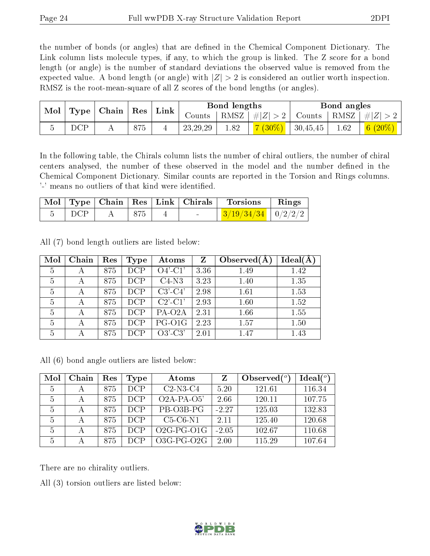the number of bonds (or angles) that are defined in the Chemical Component Dictionary. The Link column lists molecule types, if any, to which the group is linked. The Z score for a bond length (or angle) is the number of standard deviations the observed value is removed from the expected value. A bond length (or angle) with  $|Z| > 2$  is considered an outlier worth inspection. RMSZ is the root-mean-square of all Z scores of the bond lengths (or angles).

| $\bf{Mol}$ |     | $\vert$ Type $\vert$ Chain $\vert$ Res $\vert$ |     | $\perp$ Link |                                    | Bond lengths |                                 |               | Bond angles |                                                  |
|------------|-----|------------------------------------------------|-----|--------------|------------------------------------|--------------|---------------------------------|---------------|-------------|--------------------------------------------------|
|            |     |                                                |     |              | $\frac{1}{2}$ Counts $\frac{1}{2}$ | RMSZ         | #Z  > 2                         | Counts   RMSZ |             | $\mathbb{C}^\bullet \perp \#  Z  > \mathbb{Z}$ . |
|            | DCP | . .                                            | 875 |              | 23, 29, 29                         | 1.82         | <mark>7 (30%)</mark>   30,45,45 |               | 1.62        | 6 $(20\%)$                                       |

In the following table, the Chirals column lists the number of chiral outliers, the number of chiral centers analysed, the number of these observed in the model and the number defined in the Chemical Component Dictionary. Similar counts are reported in the Torsion and Rings columns. '-' means no outliers of that kind were identified.

|       |  | Mol   Type   Chain   Res   Link   Chirals | $\blacksquare$ Torsions        | $\mathbf{Rings}$ |
|-------|--|-------------------------------------------|--------------------------------|------------------|
| ∣ DCP |  | $\sim$                                    | $\frac{3}{19/34/34}$   0/2/2/2 |                  |

Mol Chain Res Type Atoms Z Observed $(A)$  Ideal $(A)$  | A | 875 | DCP | O4'-C1' | 3.36 | 1.49 | 1.42 | A | 875 | DCP | C4-N3 | 3.23 | 1.40 | 1.35 A  $875$  DCP  $\mid$  C3'-C4'  $\mid$  2.98  $\mid$  1.61  $\mid$  1.53 | A | 875 | DCP | C2'-C1' | 2.93 | 1.60 | 1.52 5 | A | 875 | DCP | PA-O2A | 2.31 | 1.66 | 1.55 A  $875$  DCP PG-O1G  $2.23$  1.57 1.50  $5 \mid A \mid 875 \mid DCP \mid 03'-C3' \mid 2.01 \mid 1.47 \mid 1.43$ 

All (7) bond length outliers are listed below:

All (6) bond angle outliers are listed below:

| Mol | Chain | Res | Type       | Atoms        |         | Observed $(°)$ | Ideal $(^\circ)$ |
|-----|-------|-----|------------|--------------|---------|----------------|------------------|
| 5   | А     | 875 | <b>DCP</b> | $C2-N3-C4$   | 5.20    | 121.61         | 116.34           |
| 5   | А     | 875 | DCP        | $O2A-PA-O5'$ | 2.66    | 120.11         | 107.75           |
| 5   | А     | 875 | <b>DCP</b> | PB-O3B-PG    | $-2.27$ | 125.03         | 132.83           |
| 5   | А     | 875 | DCP        | $C5-C6-N1$   | 2.11    | 125.40         | 120.68           |
| 5   | А     | 875 | DCP        | $O2G-PG-O1G$ | $-2.05$ | 102.67         | 110.68           |
| 5   | А     | 875 | DCP        | $O3G-PG-O2G$ | 2.00    | 115.29         | 107.64           |

There are no chirality outliers.

All (3) torsion outliers are listed below:

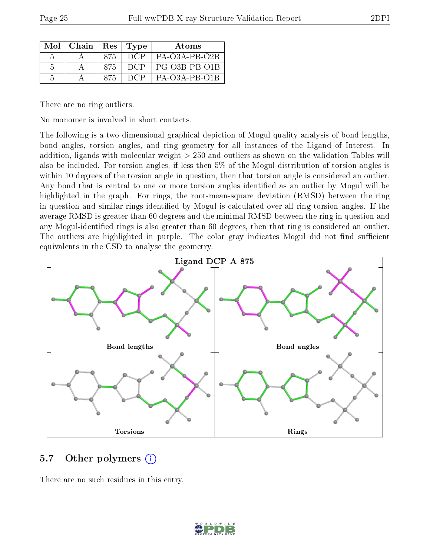| Mol           | Chain | Res | Type       | <b>Atoms</b>    |
|---------------|-------|-----|------------|-----------------|
| 5             |       | 875 | <b>DCP</b> | $PA-O3A-PB-O2B$ |
| -5            |       | 875 | DCP        | PG-O3B-PB-O1B   |
| $\mathcal{L}$ |       | 875 | - DCP      | $PA-O3A-PB-O1B$ |

There are no ring outliers.

No monomer is involved in short contacts.

The following is a two-dimensional graphical depiction of Mogul quality analysis of bond lengths, bond angles, torsion angles, and ring geometry for all instances of the Ligand of Interest. In addition, ligands with molecular weight > 250 and outliers as shown on the validation Tables will also be included. For torsion angles, if less then 5% of the Mogul distribution of torsion angles is within 10 degrees of the torsion angle in question, then that torsion angle is considered an outlier. Any bond that is central to one or more torsion angles identified as an outlier by Mogul will be highlighted in the graph. For rings, the root-mean-square deviation (RMSD) between the ring in question and similar rings identified by Mogul is calculated over all ring torsion angles. If the average RMSD is greater than 60 degrees and the minimal RMSD between the ring in question and any Mogul-identified rings is also greater than 60 degrees, then that ring is considered an outlier. The outliers are highlighted in purple. The color gray indicates Mogul did not find sufficient equivalents in the CSD to analyse the geometry.



#### 5.7 [O](https://www.wwpdb.org/validation/2017/XrayValidationReportHelp#nonstandard_residues_and_ligands)ther polymers (i)

There are no such residues in this entry.

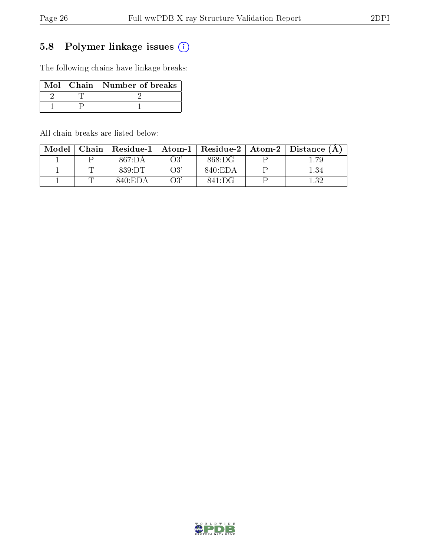### 5.8 Polymer linkage issues (i)

The following chains have linkage breaks:

|  | Mol   Chain   Number of breaks |
|--|--------------------------------|
|  |                                |
|  |                                |

All chain breaks are listed below:

| Model | Chain |         |          |         | Residue-1   Atom-1   Residue-2   Atom-2   Distance (A |
|-------|-------|---------|----------|---------|-------------------------------------------------------|
|       |       | 867:DA  | O3       | 868:DG  | 1.79                                                  |
|       |       | 839:DT  | $\Omega$ | 840:EDA | 1.34                                                  |
|       |       | 840:EDA | ∩?'      | 841:DG  | .32                                                   |

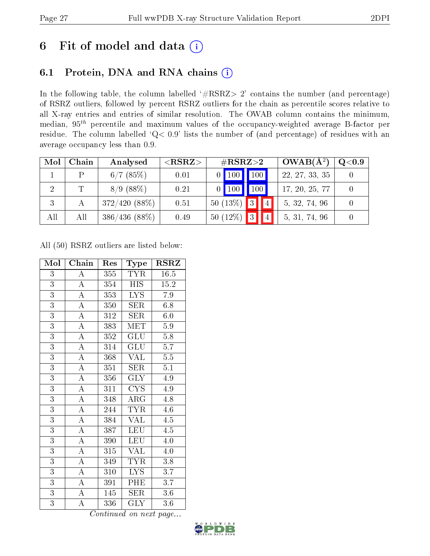# 6 Fit of model and data  $(i)$

### 6.1 Protein, DNA and RNA chains  $(i)$

In the following table, the column labelled  $#RSRZ> 2'$  contains the number (and percentage) of RSRZ outliers, followed by percent RSRZ outliers for the chain as percentile scores relative to all X-ray entries and entries of similar resolution. The OWAB column contains the minimum, median,  $95<sup>th</sup>$  percentile and maximum values of the occupancy-weighted average B-factor per residue. The column labelled ' $Q< 0.9$ ' lists the number of (and percentage) of residues with an average occupancy less than 0.9.

| Mol | Chain | Analysed        | ${ <\hspace{-1.5pt}{\mathrm{RSRZ}} \hspace{-1.5pt}>}$ | $\#\text{RSRZ}\text{>2}$        |  | $\rm OWAB(A^2)$ | $\rm Q\textcolor{black}{<}0.9$ |
|-----|-------|-----------------|-------------------------------------------------------|---------------------------------|--|-----------------|--------------------------------|
|     | D     | 6/7(85%)        | 0.01                                                  | $\sqrt{100}$<br>$0$   100       |  | 22, 27, 33, 35  |                                |
|     | T     | 8/9(88%)        | 0.21                                                  | $\vert$ 100 $\vert$<br>$0$  100 |  | 17, 20, 25, 77  |                                |
|     |       | $372/420(88\%)$ | 0.51                                                  | $\boxed{3}$<br>$50(13\%)$       |  | 5, 32, 74, 96   |                                |
| All | All   | $386/436(88\%)$ | 0.49                                                  | $ 3\rangle$<br>50 $(12\%)$      |  | 5, 31, 74, 96   |                                |

All (50) RSRZ outliers are listed below:

| Mol            | Chain              | Res | Type                    | <b>RSRZ</b>      |
|----------------|--------------------|-----|-------------------------|------------------|
| 3              | $\boldsymbol{A}$   | 355 | <b>TYR</b>              | 16.5             |
| $\overline{3}$ | $\overline{A}$     | 354 | <b>HIS</b>              | 15.2             |
| $\overline{3}$ | $\overline{\rm A}$ | 353 | <b>LYS</b>              | 7.9              |
| $\overline{3}$ | $\overline{\rm A}$ | 350 | <b>SER</b>              | 6.8              |
| $\overline{3}$ | $\overline{\rm A}$ | 312 | SER                     | 6.0              |
| $\overline{3}$ | $\overline{A}$     | 383 | MET                     | $5.9\,$          |
| $\overline{3}$ | $\overline{\rm A}$ | 352 | <b>GLU</b>              | 5.8              |
| $\overline{3}$ | $\overline{\rm A}$ | 314 | GLU                     | 5.7              |
| $\overline{3}$ | $\overline{\rm A}$ | 368 | <b>VAL</b>              | 5.5              |
| $\overline{3}$ | $\overline{\rm A}$ | 351 | SER                     | 5.1              |
| $\overline{3}$ | $\overline{A}$     | 356 | $\overline{\text{GLY}}$ | 4.9              |
| $\overline{3}$ | $\overline{\rm A}$ | 311 | <b>CYS</b>              | 4.9              |
| $\overline{3}$ | $\overline{\rm A}$ | 348 | $\rm{ARG}$              | $\overline{4.8}$ |
| $\overline{3}$ | $\overline{\rm A}$ | 244 | <b>TYR</b>              | 4.6              |
| $\overline{3}$ | $\overline{\rm A}$ | 384 | $\overline{\text{VAL}}$ | 4.5              |
| $\overline{3}$ | $\overline{A}$     | 387 | LEU                     | 4.5              |
| $\overline{3}$ | $\overline{\rm A}$ | 390 | <b>LEU</b>              | $4.0\,$          |
| $\overline{3}$ | $\overline{A}$     | 315 | <b>VAL</b>              | $4.0\,$          |
| $\overline{3}$ | $\overline{\rm A}$ | 349 | <b>TYR</b>              | 3.8              |
| $\overline{3}$ | $\overline{A}$     | 310 | LYS                     | 3.7              |
| $\overline{3}$ | $\overline{A}$     | 391 | PHE                     | 3.7              |
| $\overline{3}$ | $\overline{\rm A}$ | 145 | <b>SER</b>              | 3.6              |
| $\overline{3}$ | $\overline{\rm A}$ | 336 | $\rm GLY$               | 3.6              |

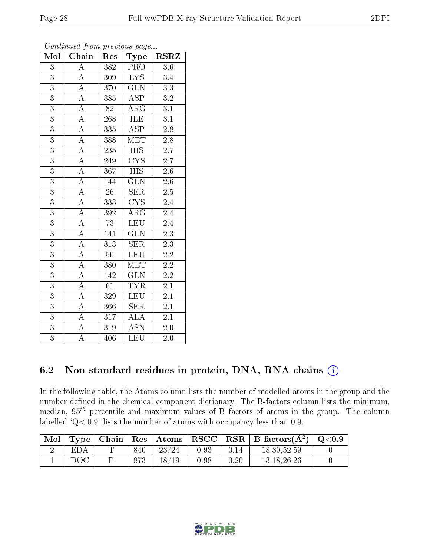| Mol            | Communica from previous page<br>Chain | Res              | Type                                                     | <b>RSRZ</b>      |
|----------------|---------------------------------------|------------------|----------------------------------------------------------|------------------|
| 3              | A                                     | 382              | PRO                                                      | 3.6              |
| $\overline{3}$ | $\boldsymbol{A}$                      | 309              | $\overline{LYS}$                                         | 3.4              |
| $\overline{3}$ | $\overline{\rm A}$                    | 370              | GLN                                                      | 3.3              |
| $\overline{3}$ | $\boldsymbol{A}$                      | 385              | <b>ASP</b>                                               | $\overline{3.2}$ |
| $\overline{3}$ | $\overline{\rm A}$                    | 82               | $\rm{AR}\bar{\rm{G}}$                                    | $\overline{3.1}$ |
| $\overline{3}$ | $\overline{\rm A}$                    | 268              | ILE                                                      | $\overline{3.1}$ |
| $\overline{3}$ | $\overline{\rm A}$                    | 335              | $\overline{\rm ASP}$                                     | $2.\overline{8}$ |
| $\overline{3}$ | $\overline{\rm A}$                    | 388              | $\mathrm{M} \overline{\mathrm{E}} \overline{\mathrm{T}}$ | $\overline{2.8}$ |
| $\overline{3}$ | $\overline{\rm A}$                    | 235              | $\overline{HIS}$                                         | $\overline{2.7}$ |
| $\overline{3}$ | $\overline{A}$                        | 249              | $\overline{\text{CYS}}$                                  | $\overline{2.7}$ |
| $\overline{3}$ | $\overline{\rm A}$                    | 367              | $\overline{\mathrm{HIS}}$                                | 2.6              |
| $\overline{3}$ | $\overline{\rm A}$                    | $\overline{1}44$ | $\overline{\text{GLN}}$                                  | $2.6\,$          |
| $\overline{3}$ | $\overline{A}$                        | 26               | SER                                                      | 2.5              |
| $\overline{3}$ | $\overline{\rm A}$                    | 333              | $\overline{\text{C} \text{YS}}$                          | 2.4              |
| $\overline{3}$ | $\overline{\rm A}$                    | 392              | $\overline{\rm{ARG}}$                                    | $\overline{2.4}$ |
| 3              | $\overline{\rm A}$                    | 73               | <b>LEU</b>                                               | 2.4              |
| $\overline{3}$ | $\overline{\rm A}$                    | 141              | $\overline{\text{GLN}}$                                  | $\overline{2.3}$ |
| $\overline{3}$ | $\overline{\rm A}$                    | 313              | <b>SER</b>                                               | 2.3              |
| $\overline{3}$ | $\overline{\rm A}$                    | 50               | <b>LEU</b>                                               | $\overline{2.2}$ |
| $\overline{3}$ | $\overline{\rm A}$                    | 380              | $\overline{\text{MET}}$                                  | $\overline{2.2}$ |
| $\overline{3}$ | $\overline{\rm A}$                    | 142              | $\overline{\text{GLN}}$                                  | $2.2\,$          |
| $\overline{3}$ | $\overline{\rm A}$                    | 61               | <b>TYR</b>                                               | $2\overline{.1}$ |
| $\overline{3}$ | $\boldsymbol{A}$                      | 329              | <b>LEU</b>                                               | 2.1              |
| $\overline{3}$ | $\overline{\rm A}$                    | 366              | $\overline{\text{SER}}$                                  | $\overline{2.1}$ |
| $\overline{3}$ | $\overline{A}$                        | 317              | <b>ALA</b>                                               | 2.1              |
| $\overline{3}$ | $\boldsymbol{A}$                      | 319              | <b>ASN</b>                                               | $2.0\,$          |
| $\overline{3}$ | А                                     | 406              | LEU                                                      | 2.0              |

### 6.2 Non-standard residues in protein, DNA, RNA chains (i)

In the following table, the Atoms column lists the number of modelled atoms in the group and the number defined in the chemical component dictionary. The B-factors column lists the minimum, median,  $95<sup>th</sup>$  percentile and maximum values of B factors of atoms in the group. The column labelled 'Q< 0.9' lists the number of atoms with occupancy less than 0.9.

| Mol |            |     |       |      |      | $\top$ Type   Chain   Res   Atoms   RSCC   RSR   B-factors $(A^2)$   Q<0.9 |  |
|-----|------------|-----|-------|------|------|----------------------------------------------------------------------------|--|
|     | <b>EDA</b> | 840 | 23/24 | 0.93 |      | 18.30.52.59                                                                |  |
|     | DOC        | 873 | 18/19 | 0.98 | 0.20 | 13.18.26.26                                                                |  |

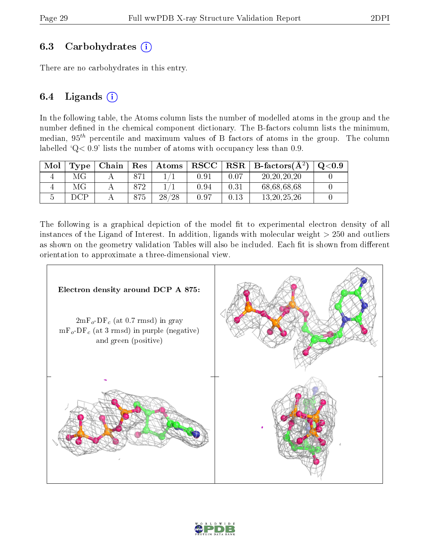#### 6.3 Carbohydrates  $(i)$

There are no carbohydrates in this entry.

#### 6.4 Ligands  $(i)$

In the following table, the Atoms column lists the number of modelled atoms in the group and the number defined in the chemical component dictionary. The B-factors column lists the minimum, median,  $95<sup>th</sup>$  percentile and maximum values of B factors of atoms in the group. The column labelled  $Q < 0.9$ ' lists the number of atoms with occupancy less than 0.9.

| Mol | Type | Chain | Res | $\vert$ Atoms | ${\bf RSCC}$ | $\ $ RSR $\ $ | B-factors $(A^2)$ | $\mathrm{Q}{<}0.9$ |
|-----|------|-------|-----|---------------|--------------|---------------|-------------------|--------------------|
|     | МG   |       |     |               | $0.91\,$     | 0.07          | 20, 20, 20, 20    |                    |
|     |      |       | 872 |               | 0.94         | 0.31          | 68,68,68,68       |                    |
|     |      |       | 375 | 28/28         | 0.97         | 0.13          | 13, 20, 25, 26    |                    |

The following is a graphical depiction of the model fit to experimental electron density of all instances of the Ligand of Interest. In addition, ligands with molecular weight  $> 250$  and outliers as shown on the geometry validation Tables will also be included. Each fit is shown from different orientation to approximate a three-dimensional view.